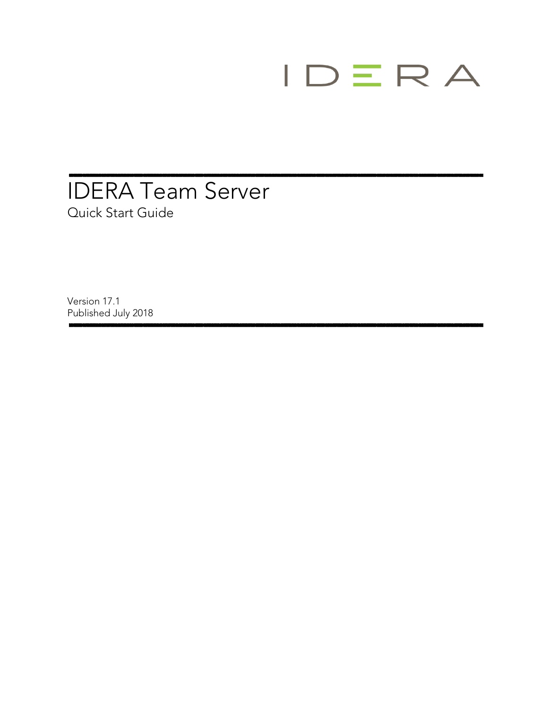# $IDERA$

## IDERA Team Server Quick Start Guide

Version 17.1 Published July 2018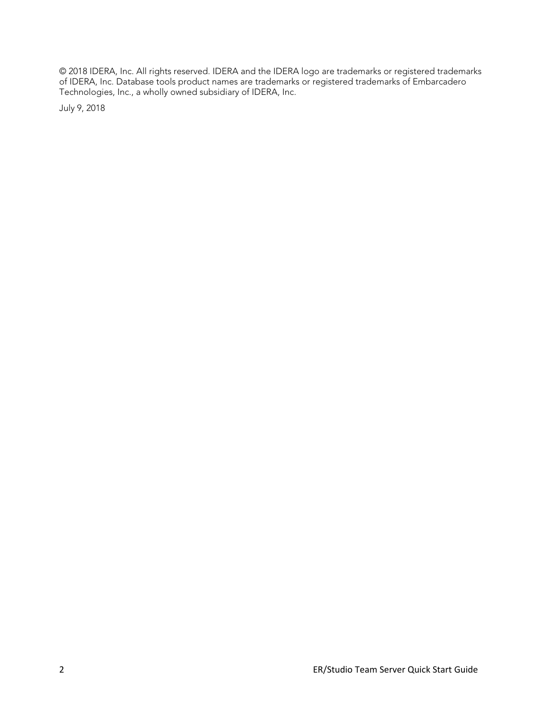© 2018 IDERA, Inc. All rights reserved. IDERA and the IDERA logo are trademarks or registered trademarks of IDERA, Inc. Database tools product names are trademarks or registered trademarks of Embarcadero Technologies, Inc., a wholly owned subsidiary of IDERA, Inc.

July 9, 2018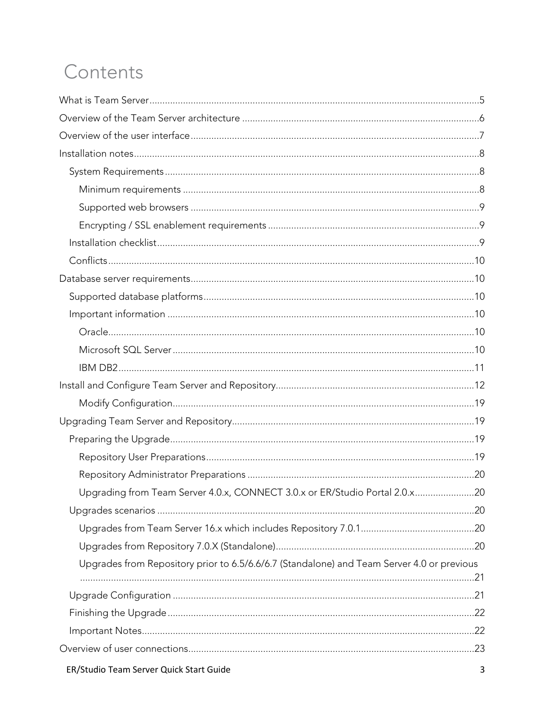# Contents

| Upgrading from Team Server 4.0.x, CONNECT 3.0.x or ER/Studio Portal 2.0.x20                |  |
|--------------------------------------------------------------------------------------------|--|
|                                                                                            |  |
|                                                                                            |  |
|                                                                                            |  |
| Upgrades from Repository prior to 6.5/6.6/6.7 (Standalone) and Team Server 4.0 or previous |  |
|                                                                                            |  |
|                                                                                            |  |
|                                                                                            |  |
|                                                                                            |  |
|                                                                                            |  |
|                                                                                            |  |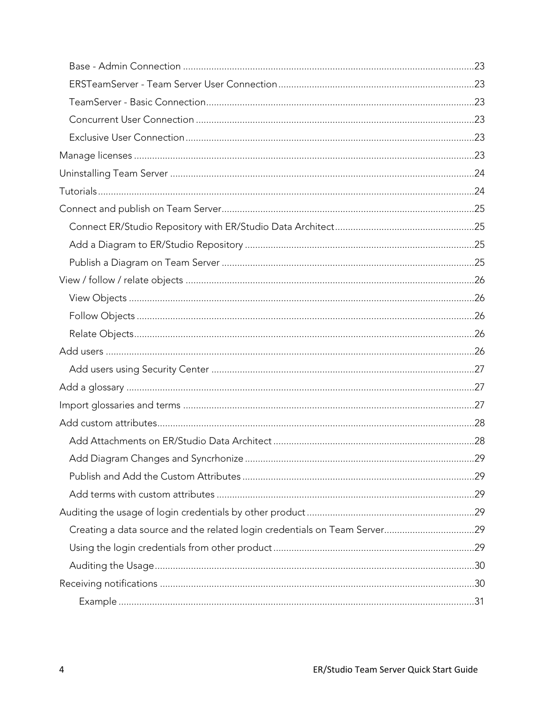| Creating a data source and the related login credentials on Team Server29 |  |
|---------------------------------------------------------------------------|--|
|                                                                           |  |
|                                                                           |  |
|                                                                           |  |
|                                                                           |  |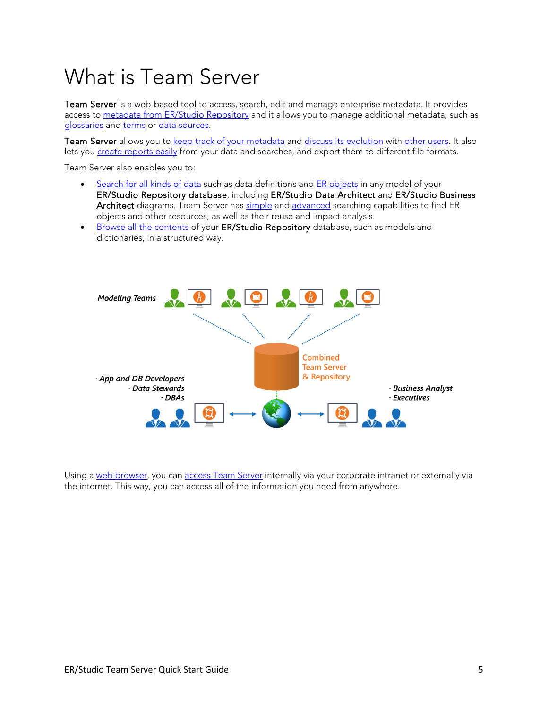# <span id="page-4-0"></span>What is Team Server

Team Server is a web-based tool to access, search, edit and manage enterprise metadata. It provides access to [metadata from ER/Studio Repository](http://docwiki.embarcadero.com/TeamServer/ERStudio/170/en/Working_with_ER_Objects) and it allows you to manage additional metadata, such as [glossaries](http://docwiki.embarcadero.com/TeamServer/ERStudio/170/en/Working_with_Glossaries) and [terms](http://docwiki.embarcadero.com/TeamServer/ERStudio/170/en/Working_with_Terms) or [data sources.](http://docwiki.embarcadero.com/TeamServer/ERStudio/170/en/Working_with_Data_Sources)

Team Server allows you to [keep track of your metadata](http://docwiki.embarcadero.com/TeamServer/ERStudio/170/en/Following_Resources) and [discuss its evolution](http://docwiki.embarcadero.com/TeamServer/ERStudio/170/en/Discussing_Resources) with [other users.](http://docwiki.embarcadero.com/TeamServer/ERStudio/170/en/Interacting_with_People) It also lets you [create reports easily](http://docwiki.embarcadero.com/TeamServer/ERStudio/170/en/Using_Reports) from your data and searches, and export them to different file formats.

Team Server also enables you to:

- [Search for all kinds of data](http://docwiki.embarcadero.com/TeamServer/ERStudio/170/en/Search_Pages) such as data definitions and [ER objects](http://docwiki.embarcadero.com/TeamServer/ERStudio/170/en/Working_with_ER_Objects) in any model of your ER/Studio Repository database, including ER/Studio Data Architect and ER/Studio Business Architect diagrams. Team Server has [simple](http://docwiki.embarcadero.com/TeamServer/ERStudio/170/en/Searching_for_a_Resource_of_a_Specific_Resource_Type) and [advanced](http://docwiki.embarcadero.com/TeamServer/ERStudio/170/en/Searching_for_a_Resource_of_a_Specific_Resource_Type#Advanced_Search) searching capabilities to find ER objects and other resources, as well as their reuse and impact analysis.
- [Browse all the contents](http://docwiki.embarcadero.com/TeamServer/ERStudio/170/en/Browsing_ER_Objects) of your ER/Studio Repository database, such as models and dictionaries, in a structured way.



Using a [web browser,](http://docwiki.embarcadero.com/TeamServer/ERStudio/170/en/Installation_Notes#Supported_Web_Browsers) you can [access Team Server](http://docwiki.embarcadero.com/TeamServer/ERStudio/170/en/Connecting_to_Team_Server) internally via your corporate intranet or externally via the internet. This way, you can access all of the information you need from anywhere.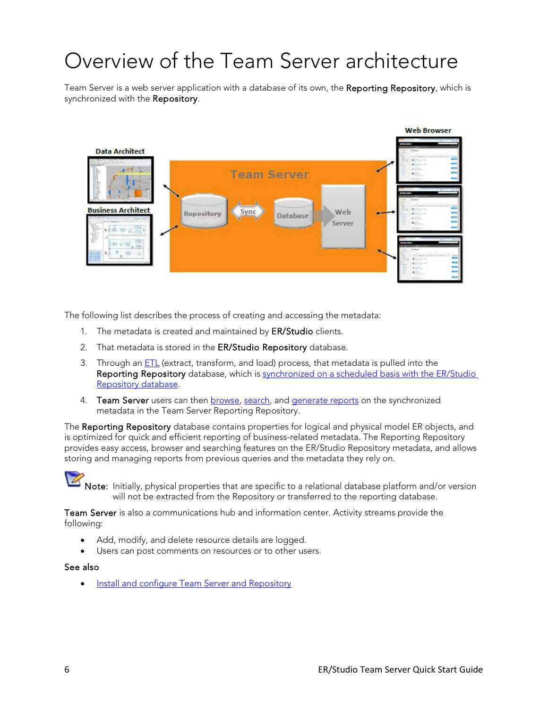# <span id="page-5-0"></span>Overview of the Team Server architecture

Team Server is a web server application with a database of its own, the Reporting Repository, which is synchronized with the Repository.



The following list describes the process of creating and accessing the metadata:

- 1. The metadata is created and maintained by **ER/Studio** clients.
- 2. That metadata is stored in the ER/Studio Repository database.
- 3. Through a[n ETL](http://docwiki.embarcadero.com/TeamServer/ERStudio/170/en/Glossary#E) (extract, transform, and load) process, that metadata is pulled into the Reporting Repository database, which is synchronized on a scheduled basis with the ER/Studio [Repository database.](http://docwiki.embarcadero.com/TeamServer/ERStudio/170/en/Overview_of_Data_Synchronization)
- 4. Team Server users can then **browse**, [search,](http://docwiki.embarcadero.com/TeamServer/ERStudio/170/en/Search_Pages) and **generate reports** on the synchronized metadata in the Team Server Reporting Repository.

The Reporting Repository database contains properties for logical and physical model ER objects, and is optimized for quick and efficient reporting of business-related metadata. The Reporting Repository provides easy access, browser and searching features on the ER/Studio Repository metadata, and allows storing and managing reports from previous queries and the metadata they rely on.



[N](http://docwiki.embarcadero.com/TeamServer/ERStudio/Updates/en/File:Notepad_blue_icon_2.png)ote: Initially, physical properties that are specific to a relational database platform and/or version will not be extracted from the Repository or transferred to the reporting database.

Team Server is also a communications hub and information center. Activity streams provide the following:

- Add, modify, and delete resource details are logged.
- Users can post comments on resources or to other users.

#### See also

• [Install and configure Team Server and Repository](#page-11-0)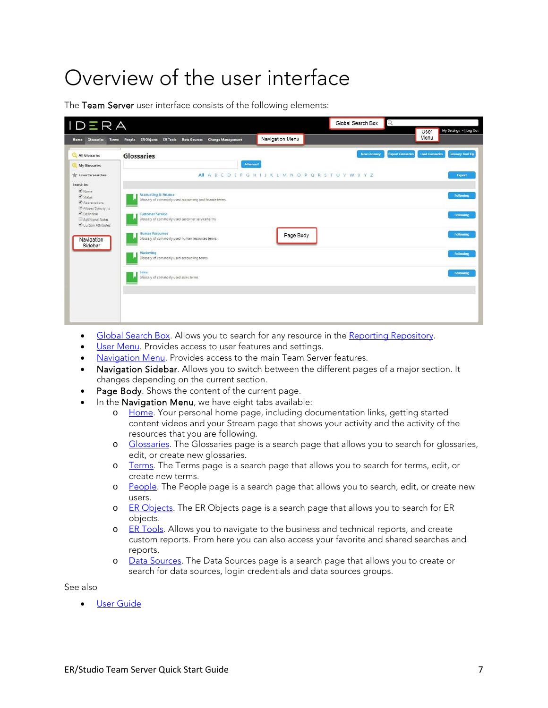# <span id="page-6-0"></span>Overview of the user interface

The Team Server user interface consists of the following elements:

| <b>Glossaries</b><br><b>Terms</b><br><b>Home</b>      | ER Objects ER Tools Data Sources Change Management<br>People                               | Navigation Menu                                         |                                                 | User<br>Menu           | My Settings =   Log Out  |
|-------------------------------------------------------|--------------------------------------------------------------------------------------------|---------------------------------------------------------|-------------------------------------------------|------------------------|--------------------------|
| All Glossaries                                        | <b>Glossaries</b>                                                                          |                                                         | <b>Export Glossaries</b><br><b>New Glossary</b> | <b>Load Glossaries</b> | <b>Glossary Tool Tip</b> |
| My Glossaries                                         | Advanced                                                                                   |                                                         |                                                 |                        |                          |
| Favorite Searches                                     |                                                                                            | All A B C D E F G H I J K L M N O P Q R S T U V W X Y Z |                                                 |                        | Export                   |
| Search In:<br>M Name                                  |                                                                                            |                                                         |                                                 |                        |                          |
| C Status<br>Abbreviations<br>Aliases/Synonyms         | <b>Accounting &amp; Finance</b><br>Glossary of commonly used accounting and finance terms. |                                                         |                                                 |                        | Following                |
| C Definition<br>Additional Notes<br>Custom Attributes | <b>Customer Service</b><br>Glossary of commonly used customer service terms                |                                                         |                                                 |                        | Following                |
| Navigation<br>Sidebar                                 | <b>Human Resources</b><br>Glossary of commonly used human resources terms.                 | Page Body                                               |                                                 |                        | Tollowing                |
|                                                       | Marketing<br>Glossary of commonly used accounting terms.                                   |                                                         |                                                 |                        | Following                |
|                                                       | <b>Sales</b><br>Glossary of commonly used sales terms                                      |                                                         |                                                 |                        | Following                |
|                                                       |                                                                                            |                                                         |                                                 |                        |                          |
|                                                       |                                                                                            |                                                         |                                                 |                        |                          |

- [Global Search Box.](http://docwiki.embarcadero.com/TeamServer/ERStudio/170/en/Global_Search_Box) Allows you to search for any resource in the [Reporting Repository.](http://docwiki.embarcadero.com/TeamServer/ERStudio/170/en/Overview_of_the_Team_Server_Architecture)
- [User Menu.](http://docwiki.embarcadero.com/TeamServer/ERStudio/170/en/User_Menu) Provides access to user features and settings.
- [Navigation Menu.](http://docwiki.embarcadero.com/TeamServer/ERStudio/170/en/Navigation_Menu) Provides access to the main Team Server features.
- Navigation Sidebar. Allows you to switch between the different pages of a major section. It changes depending on the current section.
- Page Body. Shows the content of the current page.
- In the Navigation Menu, we have eight tabs available:
	- o [Home.](http://docwiki.embarcadero.com/TeamServer/ERStudio/170/en/Home) Your personal home page, including documentation links, getting started content videos and your Stream page that shows your activity and the activity of the resources that you are following.
	- o [Glossaries.](http://docwiki.embarcadero.com/TeamServer/ERStudio/170/en/Glossaries) The Glossaries page is a search page that allows you to search for glossaries, edit, or create new glossaries.
	- o [Terms.](http://docwiki.embarcadero.com/TeamServer/ERStudio/170/en/Terms) The Terms page is a search page that allows you to search for terms, edit, or create new terms.
	- o [People.](http://docwiki.embarcadero.com/TeamServer/ERStudio/170/en/People) The People page is a search page that allows you to search, edit, or create new users.
	- o [ER Objects.](http://docwiki.embarcadero.com/TeamServer/ERStudio/170/en/ER_Objects) The ER Objects page is a search page that allows you to search for ER objects.
	- o [ER Tools.](http://docwiki.embarcadero.com/TeamServer/ERStudio/170/en/ER_Tools) Allows you to navigate to the business and technical reports, and create custom reports. From here you can also access your favorite and shared searches and reports.
	- o [Data Sources.](http://docwiki.embarcadero.com/TeamServer/ERStudio/170/en/Data_Sources) The Data Sources page is a search page that allows you to create or search for data sources, login credentials and data sources groups.

See also

**[User Guide](http://docwiki.embarcadero.com/TeamServer/ERStudio/170/en/User_Guide)**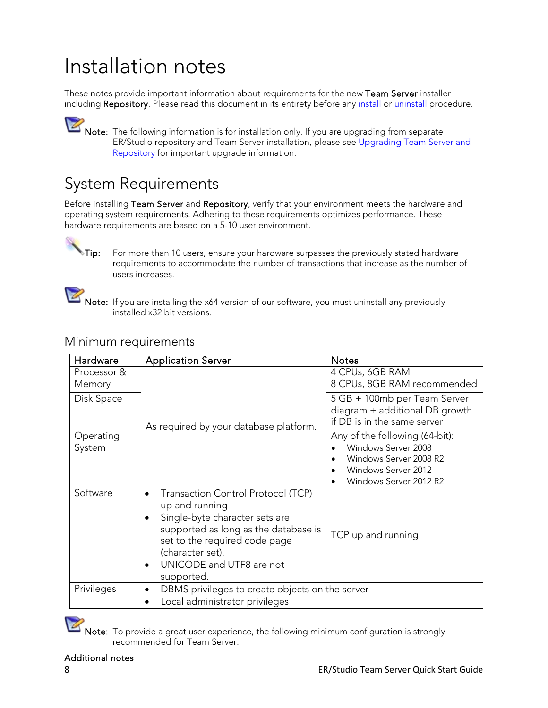## <span id="page-7-0"></span>Installation notes

These notes provide important information about requirements for the new Team Server installer including Repository. Please read this document in its entirety before any [install](#page-11-0) or [uninstall](#page-23-0) procedure.

[N](http://docwiki.embarcadero.com/TeamServer/ERStudio/Updates/en/File:Notepad_blue_icon_2.png)ote: The following information is for installation only. If you are upgrading from separate ER/Studio repository and Team Server installation, please see Upgrading Team Server and [Repository](#page-18-1) for important upgrade information.

#### <span id="page-7-1"></span>System Requirements

Before installing Team Server and Repository, verify that your environment meets the hardware and operating system requirements. Adhering to these requirements optimizes performance. These hardware requirements are based on a 5-10 user environment.

[T](http://docwiki.embarcadero.com/TeamServer/ERStudio/Updates/en/File:Magic_Wand_Icon.png)ip: For more than 10 users, ensure your hardware surpasses the previously stated hardware requirements to accommodate the number of transactions that increase as the number of users increases.

[N](http://docwiki.embarcadero.com/TeamServer/ERStudio/Updates/en/File:Notepad_blue_icon_2.png)ote: If you are installing the x64 version of our software, you must uninstall any previously installed x32 bit versions.

| Hardware              | <b>Application Server</b>                                                                                                                                                                                                     | <b>Notes</b>                                                                                                                     |
|-----------------------|-------------------------------------------------------------------------------------------------------------------------------------------------------------------------------------------------------------------------------|----------------------------------------------------------------------------------------------------------------------------------|
| Processor &<br>Memory |                                                                                                                                                                                                                               | 4 CPUs, 6GB RAM<br>8 CPUs, 8GB RAM recommended                                                                                   |
| Disk Space            | As required by your database platform.                                                                                                                                                                                        | 5 GB + 100mb per Team Server<br>diagram + additional DB growth<br>if DB is in the same server                                    |
| Operating<br>System   |                                                                                                                                                                                                                               | Any of the following (64-bit):<br>Windows Server 2008<br>Windows Server 2008 R2<br>Windows Server 2012<br>Windows Server 2012 R2 |
| Software              | Transaction Control Protocol (TCP)<br>up and running<br>Single-byte character sets are<br>supported as long as the database is<br>set to the required code page<br>(character set).<br>UNICODE and UTF8 are not<br>supported. | TCP up and running                                                                                                               |
| Privileges            | DBMS privileges to create objects on the server<br>$\bullet$<br>Local administrator privileges                                                                                                                                |                                                                                                                                  |

#### <span id="page-7-2"></span>Minimum requirements

[N](http://docwiki.embarcadero.com/TeamServer/ERStudio/Updates/en/File:Notepad_blue_icon_2.png)ote: To provide a great user experience, the following minimum configuration is strongly recommended for Team Server.

#### Additional notes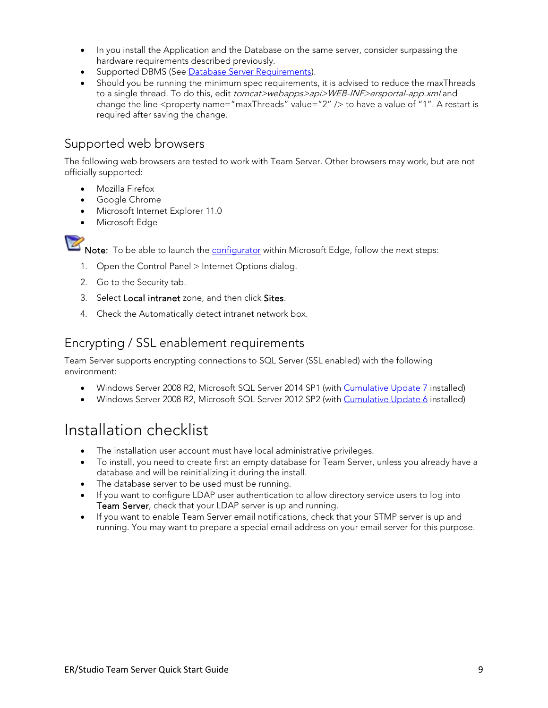- In you install the Application and the Database on the same server, consider surpassing the hardware requirements described previously.
- Supported DBMS (See [Database Server Requirements\)](#page-9-1).
- Should you be running the minimum spec requirements, it is advised to reduce the maxThreads to a single thread. To do this, edit tomcat>webapps>api>WEB-INF>ersportal-app.xml and change the line <property name="maxThreads" value="2" /> to have a value of "1". A restart is required after saving the change.

#### <span id="page-8-0"></span>Supported web browsers

The following web browsers are tested to work with Team Server. Other browsers may work, but are not officially supported:

- Mozilla Firefox
- Google Chrome
- Microsoft Internet Explorer 11.0
- Microsoft Edge



[N](http://docwiki.embarcadero.com/TeamServer/ERStudio/Updates/en/File:Notepad_blue_icon_2.png)ote: To be able to launch the [configurator](http://docwiki.embarcadero.com/TeamServer/ERStudio/170/en/Team_Server_Configuration_Manager) within Microsoft Edge, follow the next steps:

- 1. Open the Control Panel > Internet Options dialog.
- 2. Go to the Security tab.
- 3. Select Local intranet zone, and then click Sites.
- 4. Check the Automatically detect intranet network box.

#### <span id="page-8-1"></span>Encrypting / SSL enablement requirements

Team Server supports encrypting connections to SQL Server (SSL enabled) with the following environment:

- Windows Server 2008 R2, Microsoft SQL Server 2014 SP1 (with [Cumulative Update 7](https://support.microsoft.com/en-us/kb/3046038) installed)
- Windows Server 2008 R2, Microsoft SQL Server 2012 SP2 (with [Cumulative Update 6](https://support.microsoft.com/en-us/kb/3052468) installed)

## <span id="page-8-2"></span>Installation checklist

- The installation user account must have local administrative privileges.
- To install, you need to create first an empty database for Team Server, unless you already have a database and will be reinitializing it during the install.
- The database server to be used must be running.
- If you want to configure LDAP user authentication to allow directory service users to log into Team Server, check that your LDAP server is up and running.
- If you want to enable Team Server email notifications, check that your STMP server is up and running. You may want to prepare a special email address on your email server for this purpose.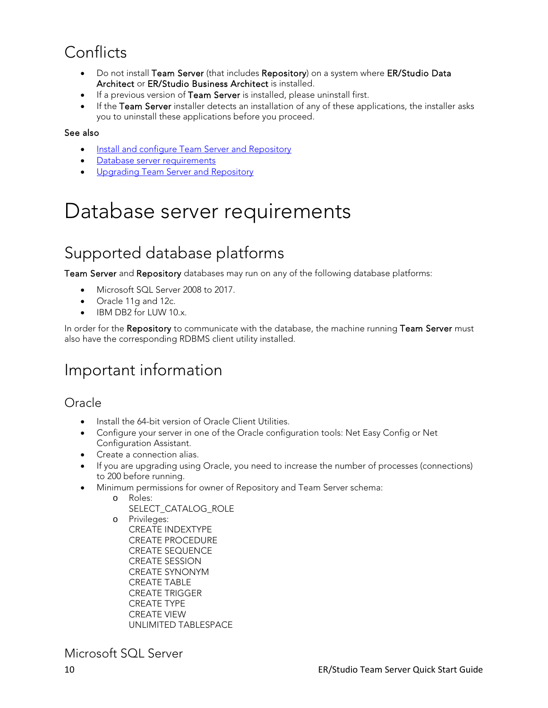## <span id="page-9-0"></span>**Conflicts**

- Do not install Team Server (that includes Repository) on a system where ER/Studio Data Architect or ER/Studio Business Architect is installed.
- If a previous version of Team Server is installed, please uninstall first.
- If the Team Server installer detects an installation of any of these applications, the installer asks you to uninstall these applications before you proceed.

#### See also

- [Install and configure Team Server and Repository](#page-11-0)
- [Database server requirements](#page-9-1)
- <span id="page-9-1"></span>**•** [Upgrading Team Server and Repository](#page-18-1)

## Database server requirements

## <span id="page-9-2"></span>Supported database platforms

Team Server and Repository databases may run on any of the following database platforms:

- Microsoft SQL Server 2008 to 2017.
- Oracle 11g and 12c.
- IBM DB2 for LUW 10.x.

In order for the Repository to communicate with the database, the machine running Team Server must also have the corresponding RDBMS client utility installed.

#### <span id="page-9-3"></span>Important information

#### <span id="page-9-4"></span>Oracle

- Install the 64-bit version of Oracle Client Utilities.
- Configure your server in one of the Oracle configuration tools: Net Easy Config or Net Configuration Assistant.
- Create a connection alias.
- If you are upgrading using Oracle, you need to increase the number of processes (connections) to 200 before running.
- Minimum permissions for owner of Repository and Team Server schema:
	- o Roles:
		- SELECT\_CATALOG\_ROLE
		- o Privileges: CREATE INDEXTYPE CREATE PROCEDURE CREATE SEQUENCE CREATE SESSION CREATE SYNONYM CREATE TABLE CREATE TRIGGER CREATE TYPE CREATE VIEW UNLIMITED TABLESPACE

<span id="page-9-5"></span>Microsoft SQL Server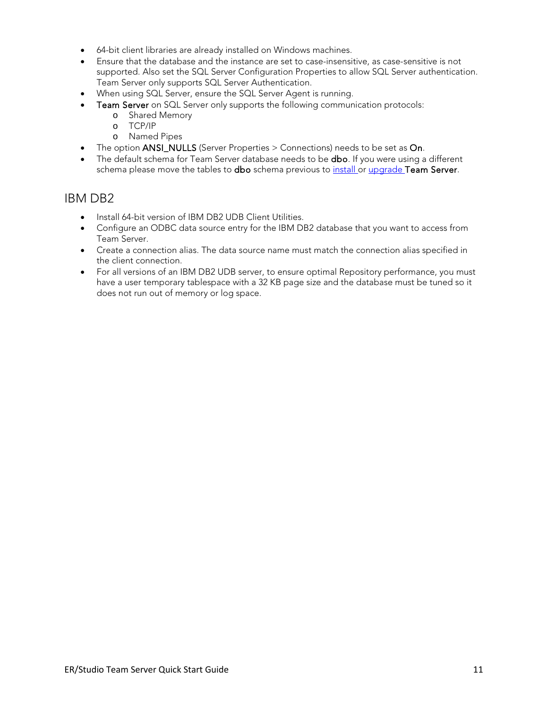- 64-bit client libraries are already installed on Windows machines.
- Ensure that the database and the instance are set to case-insensitive, as case-sensitive is not supported. Also set the SQL Server Configuration Properties to allow SQL Server authentication. Team Server only supports SQL Server Authentication.
- When using SQL Server, ensure the SQL Server Agent is running.
- Team Server on SQL Server only supports the following communication protocols:
	- o Shared Memory
	- o TCP/IP
	- o Named Pipes
- The option ANSI\_NULLS (Server Properties > Connections) needs to be set as On.
- The default schema for Team Server database needs to be **dbo**. If you were using a different schema please move the tables to dbo schema previous to *install* or [upgrade T](#page-18-1)eam Server.

#### <span id="page-10-0"></span>IBM DB2

- Install 64-bit version of IBM DB2 UDB Client Utilities.
- Configure an ODBC data source entry for the IBM DB2 database that you want to access from Team Server.
- Create a connection alias. The data source name must match the connection alias specified in the client connection.
- For all versions of an IBM DB2 UDB server, to ensure optimal Repository performance, you must have a user temporary tablespace with a 32 KB page size and the database must be tuned so it does not run out of memory or log space.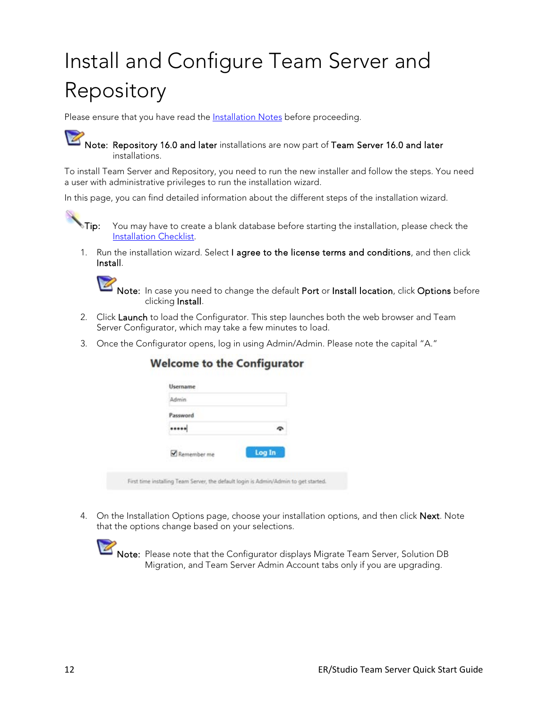# <span id="page-11-0"></span>Install and Configure Team Server and Repository

Please ensure that you have read the **Installation Notes** before proceeding.

[N](http://docwiki.embarcadero.com/TeamServer/ERStudio/Updates/en/File:Notepad_blue_icon_2.png)ote: Repository 16.0 and later installations are now part of Team Server 16.0 and later installations.

To install Team Server and Repository, you need to run the new installer and follow the steps. You need a user with administrative privileges to run the installation wizard.

In this page, you can find detailed information about the different steps of the installation wizard.



[T](http://docwiki.embarcadero.com/TeamServer/ERStudio/Updates/en/File:Magic_Wand_Icon.png)ip: You may have to create a blank database before starting the installation, please check the [Installation Checklist.](#page-8-2)

1. Run the installation wizard. Select I agree to the license terms and conditions, and then click Install.



[N](http://docwiki.embarcadero.com/TeamServer/ERStudio/Updates/en/File:Notepad_blue_icon_2.png)ote: In case you need to change the default Port or Install location, click Options before clicking Install.

- 2. Click Launch to load the Configurator. This step launches both the web browser and Team Server Configurator, which may take a few minutes to load.
- 3. Once the Configurator opens, log in using Admin/Admin. Please note the capital "A."

| Admin.      |        |
|-------------|--------|
| Password    |        |
|             |        |
| Remember me | Log In |

#### **Welcome to the Configurator**

First time installing Team Server, the default login is Admin/Admin to get started.

4. On the Installation Options page, choose your installation options, and then click Next. Note that the options change based on your selections.



[N](http://docwiki.embarcadero.com/TeamServer/ERStudio/Updates/en/File:Notepad_blue_icon_2.png)ote: Please note that the Configurator displays Migrate Team Server, Solution DB Migration, and Team Server Admin Account tabs only if you are upgrading.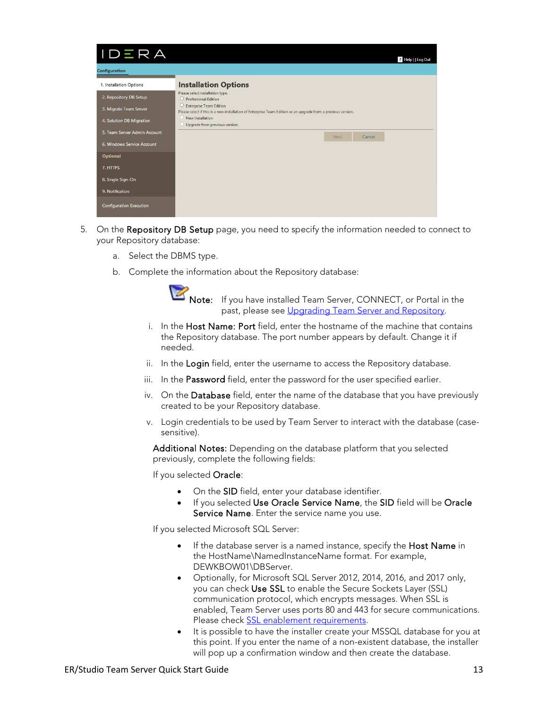| IDERA                          |                                                                                                                                            | ? Help     Log Out |
|--------------------------------|--------------------------------------------------------------------------------------------------------------------------------------------|--------------------|
| Configuration                  |                                                                                                                                            |                    |
| 1. Installation Options        | <b>Installation Options</b>                                                                                                                |                    |
| 2. Repository DB Setup         | Please select installation type.<br>O Professional Edition                                                                                 |                    |
| 3. Migrate Team Server         | C Enterprise Team Edition<br>Please select if this is a new installation of Enterprise Team Edition or an upgrade from a previous version. |                    |
| 4. Solution DB Migration       | New Installation<br>Upgrade from previous version.                                                                                         |                    |
| 5. Team Server Admin Account   | Next<br>Cancel                                                                                                                             |                    |
| 6. Windows Service Account     |                                                                                                                                            |                    |
| Optional                       |                                                                                                                                            |                    |
| 7. HTTPS                       |                                                                                                                                            |                    |
| 8. Single Sign-On              |                                                                                                                                            |                    |
| 9. Notification                |                                                                                                                                            |                    |
| <b>Configuration Execution</b> |                                                                                                                                            |                    |

- 5. On the Repository DB Setup page, you need to specify the information needed to connect to your Repository database:
	- a. Select the DBMS type.
	- b. Complete the information about the Repository database:



[N](http://docwiki.embarcadero.com/TeamServer/ERStudio/Updates/en/File:Notepad_blue_icon_2.png)ote: If you have installed Team Server, CONNECT, or Portal in the past, please see [Upgrading Team Server and Repository.](#page-18-1)

- i. In the Host Name: Port field, enter the hostname of the machine that contains the Repository database. The port number appears by default. Change it if needed.
- ii. In the Login field, enter the username to access the Repository database.
- iii. In the Password field, enter the password for the user specified earlier.
- iv. On the Database field, enter the name of the database that you have previously created to be your Repository database.
- v. Login credentials to be used by Team Server to interact with the database (casesensitive).

Additional Notes: Depending on the database platform that you selected previously, complete the following fields:

If you selected Oracle:

- On the SID field, enter your database identifier.
- If you selected Use Oracle Service Name, the SID field will be Oracle Service Name. Enter the service name you use.

If you selected Microsoft SQL Server:

- If the database server is a named instance, specify the Host Name in the HostName\NamedInstanceName format. For example, DEWKBOW01\DBServer.
- Optionally, for Microsoft SQL Server 2012, 2014, 2016, and 2017 only, you can check Use SSL to enable the Secure Sockets Layer (SSL) communication protocol, which encrypts messages. When SSL is enabled, Team Server uses ports 80 and 443 for secure communications. Please check [SSL enablement requirements.](http://docwiki.embarcadero.com/TeamServer/ERStudio/170/en/Installation_Notes#Encrypting_.2F_SSL_enablement_requirements)
- It is possible to have the installer create your MSSQL database for you at this point. If you enter the name of a non-existent database, the installer will pop up a confirmation window and then create the database.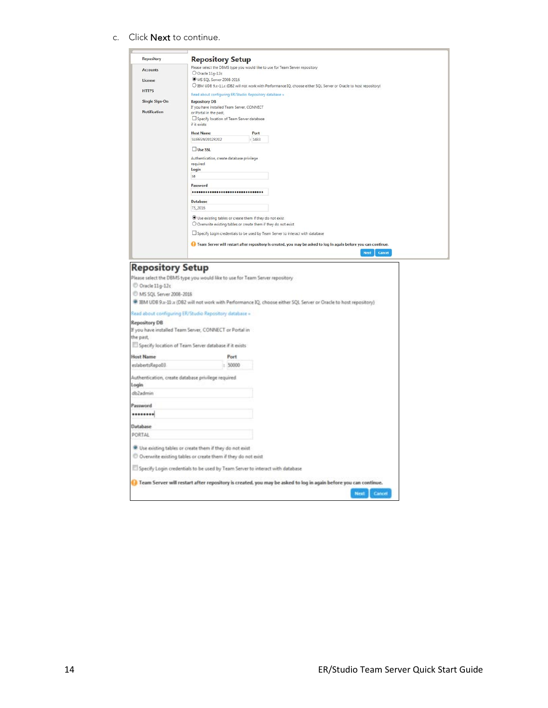c. Click Next to continue.

Authentication, create database privilege required

Use existing tables or create them if they do not exist  $\mathcal O$  Overwrite existing tables or create them if they do not exist

 $\Box$  Specify Login credentials to be used by Team Server to interact with database

Team Server will restart after repository is created, you may be asked to log in again before you can continue.

Login db2admin Password ........ Database PORTAL

| Repository                           | <b>Repository Setup</b>                                                                                            |
|--------------------------------------|--------------------------------------------------------------------------------------------------------------------|
|                                      | Please select the DBMS type you would like to use for Team Server repository                                       |
| <b>Accounts</b>                      | O Oracle 11g-12c                                                                                                   |
| License                              | MS SOL Server 2008-2016                                                                                            |
| <b>HTTPS</b>                         | O IBM UDB 9.x-11.x (DB2 will not work with Performance IQ, choose either SQL Server or Oracle to host repository)  |
|                                      | Read about configuring ER/Studio Repository database »                                                             |
| Single Sign-On                       | <b>Repository DB</b>                                                                                               |
| <b>Notification</b>                  | If you have installed Team Server, CONNECT                                                                         |
|                                      | or Portal in the past,<br>Specify location of Team Server database                                                 |
|                                      | if it exists                                                                                                       |
|                                      | <b>Host Name</b>                                                                                                   |
|                                      | Port<br>SUPESW2012R202<br>: 1433                                                                                   |
|                                      |                                                                                                                    |
|                                      | Use SSL                                                                                                            |
|                                      | Authentication, create database privilege                                                                          |
|                                      | required                                                                                                           |
|                                      | Login                                                                                                              |
|                                      | sa                                                                                                                 |
|                                      | Password                                                                                                           |
|                                      |                                                                                                                    |
|                                      | <b>Database</b>                                                                                                    |
|                                      | TS_2016                                                                                                            |
|                                      | Use existing tables or create them if they do not exist                                                            |
|                                      | $O$ Overwrite existing tables or create them if they do not exist                                                  |
|                                      | LJ Specify Login credentials to be used by Team Server to interact with database                                   |
|                                      |                                                                                                                    |
|                                      | I Team Server will restart after repository is created, you may be asked to log in again before you can continue.  |
|                                      | Cancel<br><b>Next</b>                                                                                              |
|                                      |                                                                                                                    |
| <b>Repository Setup</b>              |                                                                                                                    |
|                                      | Please select the DBMS type you would like to use for Team Server repository                                       |
| O Oracle 11g-12c                     |                                                                                                                    |
|                                      |                                                                                                                    |
| <sup>0</sup> MS SQL Server 2008-2016 |                                                                                                                    |
|                                      | If IBM UDB 9.x-11 x (DB2 will not work with Performance IQ, choose either SQL Server or Oracle to host repository) |
|                                      | Read about configuring ER/Studio Repository database »                                                             |
| <b>Repository DB</b>                 |                                                                                                                    |
|                                      | If you have installed Team Server, CONNECT or Portal in                                                            |
| the past.                            |                                                                                                                    |
|                                      | Specify location of Team Server database if it exists                                                              |
|                                      |                                                                                                                    |
| <b>Host Name</b>                     | Port                                                                                                               |
| eslabertsRepo03                      | 50000<br>Ŀ.                                                                                                        |

Next<sub>1</sub>

Cancel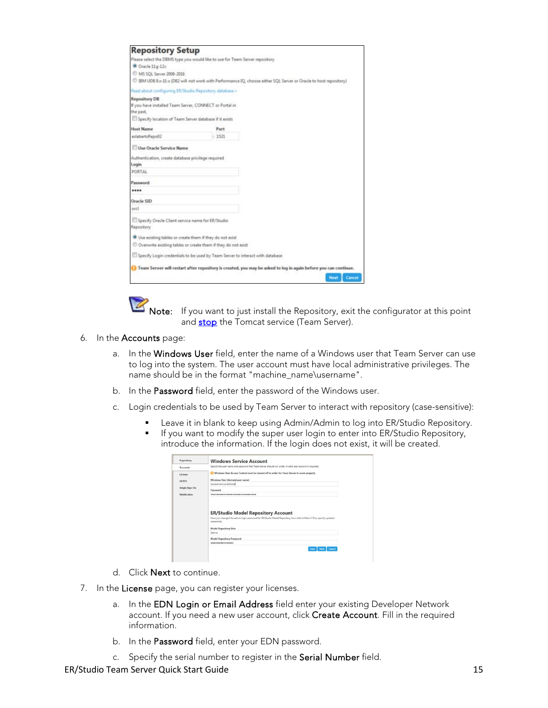| <b>Repository Setup</b>                                                       |        |                                                                                                                 |
|-------------------------------------------------------------------------------|--------|-----------------------------------------------------------------------------------------------------------------|
| Please select the DBMS type you would like to use for Team Server repository  |        |                                                                                                                 |
| Oracle 11g-12c                                                                |        |                                                                                                                 |
| MS SQL Server 2008-2018                                                       |        |                                                                                                                 |
|                                                                               |        | BM UDB 9.x-II x (DB2 will not work with Performance IQ, choose either SQL Server or Oracle to host repository)  |
| Read about configuring ER/Studio Repository database »                        |        |                                                                                                                 |
| <b>Repository DB</b>                                                          |        |                                                                                                                 |
| If you have installed Team Server, CONNECT or Portal in                       |        |                                                                                                                 |
| the past.                                                                     |        |                                                                                                                 |
| Specify location of Team Server database if it exists                         |        |                                                                                                                 |
| <b>Host Name</b>                                                              | Port   |                                                                                                                 |
| eslabertsRepo02                                                               | : 1521 |                                                                                                                 |
| Use Oracle Service Name                                                       |        |                                                                                                                 |
|                                                                               |        |                                                                                                                 |
| Authentication, create database privilege required<br>Login                   |        |                                                                                                                 |
| PORTAL                                                                        |        |                                                                                                                 |
| Password                                                                      |        |                                                                                                                 |
|                                                                               |        |                                                                                                                 |
| Oracle SID                                                                    |        |                                                                                                                 |
| orcl                                                                          |        |                                                                                                                 |
| Specify Oracle Client service name for ER/Studio                              |        |                                                                                                                 |
| Repository                                                                    |        |                                                                                                                 |
| Use existing tables or create them if they do not exist                       |        |                                                                                                                 |
| C Overwrite existing tables or create them if they do not exist               |        |                                                                                                                 |
| Specify Login credentials to be used by Team Server to interact with database |        |                                                                                                                 |
|                                                                               |        | Team Server will restart after repository is created, you may be asked to log in again before you can continue. |
|                                                                               |        | Cancel<br>Next                                                                                                  |
|                                                                               |        |                                                                                                                 |

[N](http://docwiki.embarcadero.com/TeamServer/ERStudio/Updates/en/File:Notepad_blue_icon_2.png)ote: If you want to just install the Repository, exit the configurator at this point and **stop** the Tomcat service (Team Server).

- 6. In the Accounts page:
	- a. In the Windows User field, enter the name of a Windows user that Team Server can use to log into the system. The user account must have local administrative privileges. The name should be in the format "machine\_name\username".
	- b. In the Password field, enter the password of the Windows user.
	- c. Login credentials to be used by Team Server to interact with repository (case-sensitive):
		- Leave it in blank to keep using Admin/Admin to log into ER/Studio Repository.
		- If you want to modify the super user login to enter into ER/Studio Repository, introduce the information. If the login does not exist, it will be created.

| Repository          | <b>Windows Service Account</b>                                                                                                                                   |
|---------------------|------------------------------------------------------------------------------------------------------------------------------------------------------------------|
| <b>Accounts</b>     | Specify the user name and password that Team Server should run under. A valid user account is required.                                                          |
| License             | Windows User Access Control must be turned off in order for Team Server to work properly                                                                         |
| <b>HTTPS</b>        | Windows User (domain/user name)                                                                                                                                  |
|                     | Iauraserver\LocalAdmin                                                                                                                                           |
| Single Sign-On      | Password                                                                                                                                                         |
|                     |                                                                                                                                                                  |
| <b>Notification</b> |                                                                                                                                                                  |
|                     | <b>ER/Studio Model Repository Account</b>                                                                                                                        |
|                     | Have you changed the admin login password for ER/Studio Model Repository from Admin/Admin? If so specify updated<br>credentials.<br><b>Model Repository User</b> |
|                     | Admin                                                                                                                                                            |
|                     | <b>Model Repository Password</b>                                                                                                                                 |
|                     |                                                                                                                                                                  |
|                     | Next Cancel<br>Back                                                                                                                                              |

- d. Click Next to continue.
- 7. In the License page, you can register your licenses.
	- a. In the EDN Login or Email Address field enter your existing Developer Network account. If you need a new user account, click Create Account. Fill in the required information.
	- b. In the Password field, enter your EDN password.
	- c. Specify the serial number to register in the Serial Number field.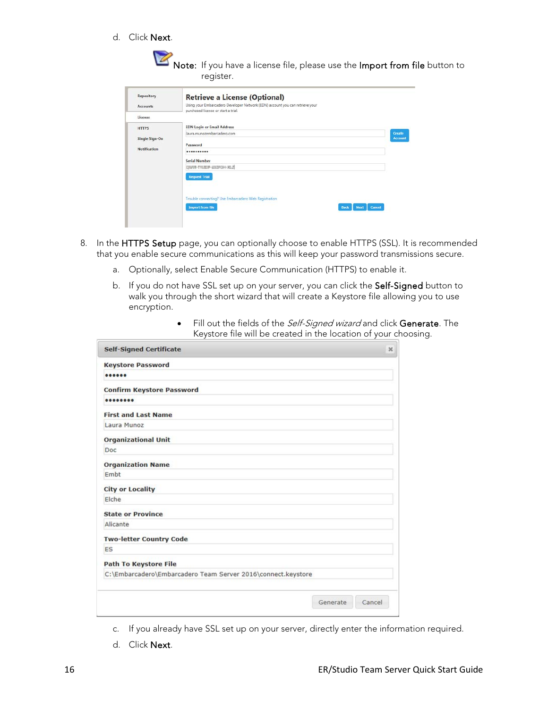d. Click Next.

|                                                       | Note: If you have a license file, please use the Import from file button to<br>register.                                                                                                            |                          |
|-------------------------------------------------------|-----------------------------------------------------------------------------------------------------------------------------------------------------------------------------------------------------|--------------------------|
| Repository<br><b>Accounts</b><br>License              | <b>Retrieve a License (Optional)</b><br>Using your Embarcadero Developer Network (EDN) account you can retrieve your<br>purchased license or start a trial.                                         |                          |
| <b>HTTPS</b><br>Single Sign-On<br><b>Notification</b> | <b>EDN Login or Email Address</b><br>laura.munozembarcadero.com<br>Password<br>                                                                                                                     | Create<br><b>Account</b> |
|                                                       | <b>Serial Number</b><br>DIVER-TILIDIP-232POH-RL2<br><b>Request Trial</b><br>Trouble connecting? Use Embarcadero Web Registration<br><b>Import from file</b><br>Cancel<br><b>Back</b><br><b>Next</b> |                          |

- 8. In the HTTPS Setup page, you can optionally choose to enable HTTPS (SSL). It is recommended that you enable secure communications as this will keep your password transmissions secure.
	- a. Optionally, select Enable Secure Communication (HTTPS) to enable it.
	- b. If you do not have SSL set up on your server, you can click the Self-Signed button to walk you through the short wizard that will create a Keystore file allowing you to use encryption.

| <b>Self-Signed Certificate</b>                               | $\mathcal{H}$ |
|--------------------------------------------------------------|---------------|
| <b>Keystore Password</b>                                     |               |
| 000000                                                       |               |
| <b>Confirm Keystore Password</b>                             |               |
|                                                              |               |
| <b>First and Last Name</b>                                   |               |
| Laura Munoz                                                  |               |
| <b>Organizational Unit</b>                                   |               |
| Doc                                                          |               |
| <b>Organization Name</b>                                     |               |
| Embt                                                         |               |
| <b>City or Locality</b>                                      |               |
| Elche                                                        |               |
| <b>State or Province</b>                                     |               |
| Alicante                                                     |               |
| <b>Two-letter Country Code</b>                               |               |
| ES                                                           |               |
| <b>Path To Keystore File</b>                                 |               |
| C:\Embarcadero\Embarcadero Team Server 2016\connect.keystore |               |

• Fill out the fields of the *Self-Signed wizard* and click Generate. The Keystore file will be created in the location of your choosing.

- c. If you already have SSL set up on your server, directly enter the information required.
- d. Click Next.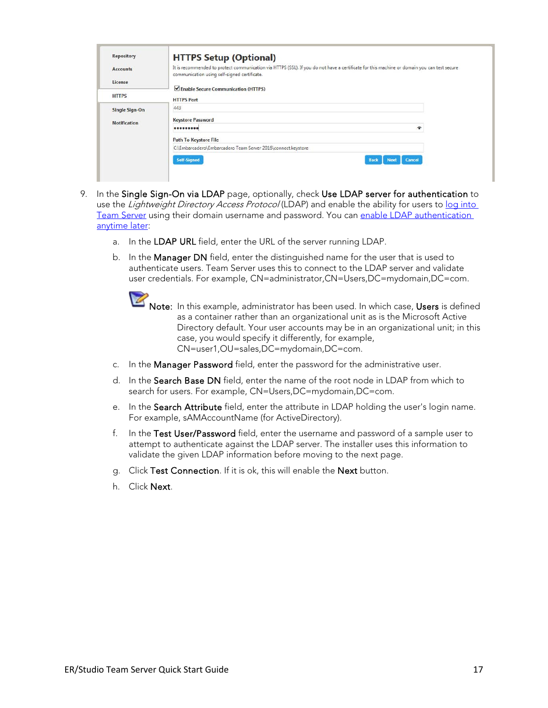| <b>Repository</b>   | <b>HTTPS Setup (Optional)</b>                                                                                                                                                               |
|---------------------|---------------------------------------------------------------------------------------------------------------------------------------------------------------------------------------------|
| <b>Accounts</b>     | It is recommended to protect communication via HTTPS (SSL). If you do not have a certificate for this machine or domain you can test secure<br>communication using self-signed certificate. |
| License             |                                                                                                                                                                                             |
| <b>HTTPS</b>        | Enable Secure Communication (HTTPS)<br><b>HTTPS Port</b>                                                                                                                                    |
| Single Sign-On      | 443                                                                                                                                                                                         |
| <b>Notification</b> | <b>Keystore Password</b>                                                                                                                                                                    |
|                     | $\hat{\phantom{a}}$<br>$0000000000$                                                                                                                                                         |
|                     | <b>Path To Keystore File</b>                                                                                                                                                                |
|                     | C:\Embarcadero\Embarcadero Team Server 2016\connect.keystore                                                                                                                                |
|                     | Self-Signed<br>Cancel<br><b>Back</b><br><b>Next</b>                                                                                                                                         |

- 9. In the Single Sign-On via LDAP page, optionally, check Use LDAP server for authentication to use the Lightweight Directory Access Protocol (LDAP) and enable the ability for users to log into [Team Server](http://docwiki.embarcadero.com/TeamServer/ERStudio/170/en/Connecting_to_Team_Server) using their domain username and password. You can [enable LDAP authentication](http://docwiki.embarcadero.com/TeamServer/ERStudio/170/en/Install_and_Configure_Team_Server_and_Repository#Modify_Configuration)  [anytime later:](http://docwiki.embarcadero.com/TeamServer/ERStudio/170/en/Install_and_Configure_Team_Server_and_Repository#Modify_Configuration)
	- a. In the LDAP URL field, enter the URL of the server running LDAP.
	- b. In the Manager DN field, enter the distinguished name for the user that is used to authenticate users. Team Server uses this to connect to the LDAP server and validate user credentials. For example, CN=administrator,CN=Users,DC=mydomain,DC=com.
		- [N](http://docwiki.embarcadero.com/TeamServer/ERStudio/Updates/en/File:Notepad_blue_icon_2.png)ote: In this example, administrator has been used. In which case, Users is defined as a container rather than an organizational unit as is the Microsoft Active Directory default. Your user accounts may be in an organizational unit; in this case, you would specify it differently, for example, CN=user1,OU=sales,DC=mydomain,DC=com.
	- c. In the Manager Password field, enter the password for the administrative user.
	- d. In the Search Base DN field, enter the name of the root node in LDAP from which to search for users. For example, CN=Users,DC=mydomain,DC=com.
	- e. In the Search Attribute field, enter the attribute in LDAP holding the user's login name. For example, sAMAccountName (for ActiveDirectory).
	- f. In the Test User/Password field, enter the username and password of a sample user to attempt to authenticate against the LDAP server. The installer uses this information to validate the given LDAP information before moving to the next page.
	- g. Click Test Connection. If it is ok, this will enable the Next button.
	- h. Click Next.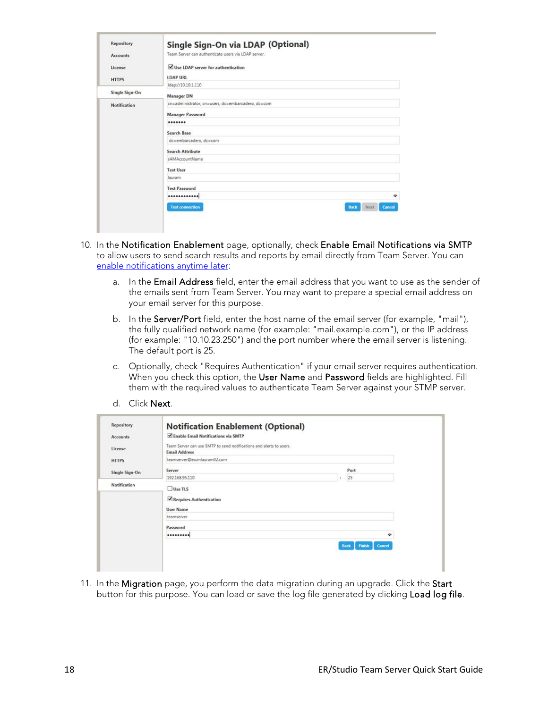| <b>Repository</b>   | Single Sign-On via LDAP (Optional)                      |  |  |
|---------------------|---------------------------------------------------------|--|--|
| <b>Accounts</b>     | Team Server can authenticate users via LDAP server.     |  |  |
|                     | Use LDAP server for authentication                      |  |  |
| License             |                                                         |  |  |
| <b>HTTPS</b>        | <b>LDAP URL</b>                                         |  |  |
|                     | Idap://10.10.1.110                                      |  |  |
| Single Sign-On      | <b>Manager DN</b>                                       |  |  |
| <b>Notification</b> | cn=administrator, cn=users, dc=embarcadero, dc=com      |  |  |
|                     | <b>Manager Password</b>                                 |  |  |
|                     |                                                         |  |  |
|                     | Search Base                                             |  |  |
|                     | dc=embarcadero, dc=com                                  |  |  |
|                     | <b>Search Attribute</b>                                 |  |  |
|                     | sAMAccountName                                          |  |  |
|                     | <b>Test User</b>                                        |  |  |
|                     | lauram                                                  |  |  |
|                     | <b>Test Password</b>                                    |  |  |
|                     | <br>۰                                                   |  |  |
|                     | <b>Test connection</b><br>Next<br><b>Back</b><br>Cancel |  |  |

- 10. In the Notification Enablement page, optionally, check Enable Email Notifications via SMTP to allow users to send search results and reports by email directly from Team Server. You can [enable notifications anytime later:](http://docwiki.embarcadero.com/TeamServer/ERStudio/170/en/Install_and_Configure_Team_Server_and_Repository#Modify_Configuration)
	- a. In the Email Address field, enter the email address that you want to use as the sender of the emails sent from Team Server. You may want to prepare a special email address on your email server for this purpose.
	- b. In the Server/Port field, enter the host name of the email server (for example, "mail"), the fully qualified network name (for example: "mail.example.com"), or the IP address (for example: "10.10.23.250") and the port number where the email server is listening. The default port is 25.
	- c. Optionally, check "Requires Authentication" if your email server requires authentication. When you check this option, the User Name and Password fields are highlighted. Fill them with the required values to authenticate Team Server against your STMP server.
	- d. Click Next.

| Repository          | <b>Notification Enablement (Optional)</b>                                                   |   |                                 |
|---------------------|---------------------------------------------------------------------------------------------|---|---------------------------------|
| <b>Accounts</b>     | Enable Email Notifications via SMTP                                                         |   |                                 |
| License             | Team Server can use SMTP to send notifications and alerts to users.<br><b>Email Address</b> |   |                                 |
| <b>HTTPS</b>        | teamserver@escmlauram02.com                                                                 |   |                                 |
| Single Sign-On      | Server                                                                                      |   | Port                            |
|                     | 192.168.95.110                                                                              | ÷ | 25                              |
| <b>Notification</b> | $\Box$ Use TLS                                                                              |   |                                 |
|                     | Requires Authentication                                                                     |   |                                 |
|                     | <b>User Name</b>                                                                            |   |                                 |
|                     | teamserver                                                                                  |   |                                 |
|                     | Password                                                                                    |   |                                 |
|                     |                                                                                             |   | ۰                               |
|                     |                                                                                             |   | Cancel<br><b>Back</b><br>Finish |
|                     |                                                                                             |   |                                 |

11. In the Migration page, you perform the data migration during an upgrade. Click the Start button for this purpose. You can load or save the log file generated by clicking Load log file.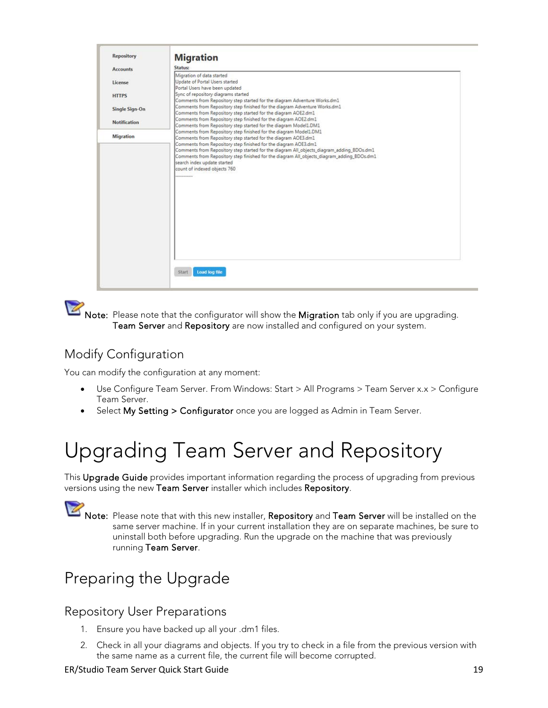| <b>Repository</b>   | <b>Migration</b>                                                                                                                  |  |
|---------------------|-----------------------------------------------------------------------------------------------------------------------------------|--|
| <b>Accounts</b>     | Status:                                                                                                                           |  |
|                     | Migration of data started                                                                                                         |  |
| License             | Update of Portal Users started<br>Portal Users have been updated                                                                  |  |
| <b>HTTPS</b>        | Sync of repository diagrams started                                                                                               |  |
|                     | Comments from Repository step started for the diagram Adventure Works.dm1                                                         |  |
| Single Sign-On      | Comments from Repository step finished for the diagram Adventure Works.dm1                                                        |  |
|                     | Comments from Repository step started for the diagram AOE2.dm1<br>Comments from Repository step finished for the diagram AOE2.dm1 |  |
| <b>Notification</b> | Comments from Repository step started for the diagram Model1.DM1                                                                  |  |
| Migration           | Comments from Repository step finished for the diagram Model1.DM1                                                                 |  |
|                     | Comments from Repository step started for the diagram AOE3.dm1<br>Comments from Repository step finished for the diagram AOE3.dm1 |  |
|                     | Comments from Repository step started for the diagram All_objects_diagram_adding_BDOs.dm1                                         |  |
|                     | Comments from Repository step finished for the diagram All_objects_diagram_adding_BDOs.dm1                                        |  |
|                     | search index update started                                                                                                       |  |
|                     | count of indexed objects 760<br>                                                                                                  |  |
|                     |                                                                                                                                   |  |
|                     |                                                                                                                                   |  |
|                     |                                                                                                                                   |  |
|                     |                                                                                                                                   |  |
|                     |                                                                                                                                   |  |
|                     |                                                                                                                                   |  |
|                     |                                                                                                                                   |  |
|                     |                                                                                                                                   |  |
|                     |                                                                                                                                   |  |
|                     |                                                                                                                                   |  |
|                     |                                                                                                                                   |  |
|                     |                                                                                                                                   |  |
|                     | Load log file<br>Start                                                                                                            |  |

[N](http://docwiki.embarcadero.com/TeamServer/ERStudio/Updates/en/File:Notepad_blue_icon_2.png)ote: Please note that the configurator will show the Migration tab only if you are upgrading. Team Server and Repository are now installed and configured on your system.

## <span id="page-18-0"></span>Modify Configuration

You can modify the configuration at any moment:

- Use Configure Team Server. From Windows: Start > All Programs > Team Server x.x > Configure Team Server.
- <span id="page-18-1"></span>Select My Setting > Configurator once you are logged as Admin in Team Server.

# Upgrading Team Server and Repository

This Upgrade Guide provides important information regarding the process of upgrading from previous versions using the new Team Server installer which includes Repository.

[N](http://docwiki.embarcadero.com/TeamServer/ERStudio/Updates/en/File:Notepad_blue_icon_2.png)ote: Please note that with this new installer, Repository and Team Server will be installed on the same server machine. If in your current installation they are on separate machines, be sure to uninstall both before upgrading. Run the upgrade on the machine that was previously running Team Server.

## <span id="page-18-2"></span>Preparing the Upgrade

#### <span id="page-18-3"></span>Repository User Preparations

- 1. Ensure you have backed up all your .dm1 files.
- 2. Check in all your diagrams and objects. If you try to check in a file from the previous version with the same name as a current file, the current file will become corrupted.

#### ER/Studio Team Server Quick Start Guide 19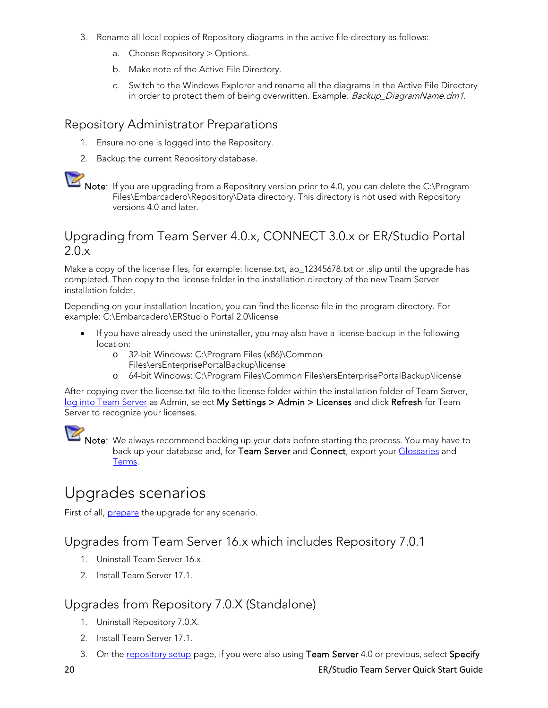- 3. Rename all local copies of Repository diagrams in the active file directory as follows:
	- a. Choose Repository > Options.
	- b. Make note of the Active File Directory.
	- c. Switch to the Windows Explorer and rename all the diagrams in the Active File Directory in order to protect them of being overwritten. Example: Backup\_DiagramName.dm1.

#### <span id="page-19-0"></span>Repository Administrator Preparations

- 1. Ensure no one is logged into the Repository.
- 2. Backup the current Repository database.

#### <span id="page-19-1"></span>Upgrading from Team Server 4.0.x, CONNECT 3.0.x or ER/Studio Portal 2.0.x

Make a copy of the license files, for example: license.txt, ao\_12345678.txt or .slip until the upgrade has completed. Then copy to the license folder in the installation directory of the new Team Server installation folder.

Depending on your installation location, you can find the license file in the program directory. For example: C:\Embarcadero\ERStudio Portal 2.0\license

- If you have already used the uninstaller, you may also have a license backup in the following location:
	- o 32-bit Windows: C:\Program Files (x86)\Common Files\ersEnterprisePortalBackup\license
	- o 64-bit Windows: C:\Program Files\Common Files\ersEnterprisePortalBackup\license

After copying over the license.txt file to the license folder within the installation folder of Team Server, [log into Team Server](http://docwiki.embarcadero.com/TeamServer/ERStudio/170/en/Connecting_to_Team_Server) as Admin, select My Settings > Admin > Licenses and click Refresh for Team Server to recognize your licenses.

[N](http://docwiki.embarcadero.com/TeamServer/ERStudio/Updates/en/File:Notepad_blue_icon_2.png)ote: We always recommend backing up your data before starting the process. You may have to back up your database and, for Team Server and Connect, export your [Glossaries](http://docwiki.embarcadero.com/TeamServer/ERStudio/170/en/Glossaries) and [Terms.](http://docwiki.embarcadero.com/TeamServer/ERStudio/170/en/Terms) 

## <span id="page-19-2"></span>Upgrades scenarios

First of all, **prepare** the upgrade for any scenario.

#### <span id="page-19-3"></span>Upgrades from Team Server 16.x which includes Repository 7.0.1

- 1. Uninstall Team Server 16.x.
- 2. Install Team Server 17.1.

#### <span id="page-19-4"></span>Upgrades from Repository 7.0.X (Standalone)

- 1. Uninstall Repository 7.0.X.
- 2. Install Team Server 17.1.
- 3. On the [repository setup](http://docwiki.embarcadero.com/TeamServer/ERStudio/170/en/Install_and_Configure_Team_Server_and_Repository#Repository_Setup) page, if you were also using Team Server 4.0 or previous, select Specify

[N](http://docwiki.embarcadero.com/TeamServer/ERStudio/Updates/en/File:Notepad_blue_icon_2.png)ote: If you are upgrading from a Repository version prior to 4.0, you can delete the C:\Program Files\Embarcadero\Repository\Data directory. This directory is not used with Repository versions 4.0 and later.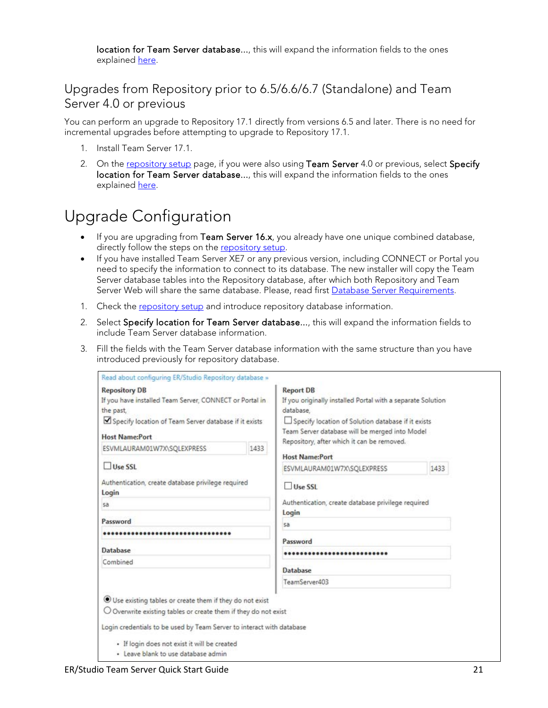location for Team Server database..., this will expand the information fields to the ones explained here.

#### <span id="page-20-0"></span>Upgrades from Repository prior to 6.5/6.6/6.7 (Standalone) and Team Server 4.0 or previous

You can perform an upgrade to Repository 17.1 directly from versions 6.5 and later. There is no need for incremental upgrades before attempting to upgrade to Repository 17.1.

- 1. Install Team Server 17.1.
- 2. On the [repository setup](http://docwiki.embarcadero.com/TeamServer/ERStudio/170/en/Install_and_Configure_Team_Server_and_Repository#Repository_Setup) page, if you were also using Team Server 4.0 or previous, select Specify location for Team Server database..., this will expand the information fields to the ones explained here.

## <span id="page-20-1"></span>Upgrade Configuration

- If you are upgrading from Team Server 16.x, you already have one unique combined database, directly follow the steps on the [repository setup.](http://docwiki.embarcadero.com/TeamServer/ERStudio/170/en/Install_and_Configure_Team_Server_and_Repository#Repository_Setup)
- If you have installed Team Server XE7 or any previous version, including CONNECT or Portal you need to specify the information to connect to its database. The new installer will copy the Team Server database tables into the Repository database, after which both Repository and Team Server Web will share the same database. Please, read first [Database Server Requirements.](#page-9-1)
- 1. Check the [repository setup](http://docwiki.embarcadero.com/TeamServer/ERStudio/170/en/Install_and_Configure_Team_Server_and_Repository#Repository_Setup) and introduce repository database information.
- 2. Select Specify location for Team Server database..., this will expand the information fields to include Team Server database information.
- 3. Fill the fields with the Team Server database information with the same structure than you have introduced previously for repository database.

| <b>Repository DB</b>                                                     |      | <b>Report DB</b>                                            |      |
|--------------------------------------------------------------------------|------|-------------------------------------------------------------|------|
| If you have installed Team Server, CONNECT or Portal in                  |      | If you originally installed Portal with a separate Solution |      |
| the past.                                                                |      | database.                                                   |      |
| Specify location of Team Server database if it exists                    |      | Specify location of Solution database if it exists          |      |
| <b>Host Name:Port</b>                                                    |      | Team Server database will be merged into Model              |      |
|                                                                          |      | Repository, after which it can be removed.                  |      |
| ESVMLAURAM01W7X\SQLEXPRESS                                               | 1433 | <b>Host Name:Port</b>                                       |      |
| Use SSL                                                                  |      | ESVMLAURAM01W7X\SQLEXPRESS                                  | 1433 |
| Authentication, create database privilege required<br>Login              |      | Use SSL                                                     |      |
| sa                                                                       |      | Authentication, create database privilege required          |      |
|                                                                          |      | Login                                                       |      |
| Password                                                                 |      | sa                                                          |      |
| **************************                                               |      | Password                                                    |      |
| Database                                                                 |      |                                                             |      |
| Combined                                                                 |      |                                                             |      |
|                                                                          |      | <b>Database</b>                                             |      |
|                                                                          |      | TeamServer403                                               |      |
| Use existing tables or create them if they do not exist                  |      |                                                             |      |
|                                                                          |      |                                                             |      |
| $\bigcirc$ Overwrite existing tables or create them if they do not exist |      |                                                             |      |
| Login credentials to be used by Team Server to interact with database    |      |                                                             |      |
| · If login does not exist it will be created                             |      |                                                             |      |
| · Leave blank to use database admin                                      |      |                                                             |      |
|                                                                          |      |                                                             |      |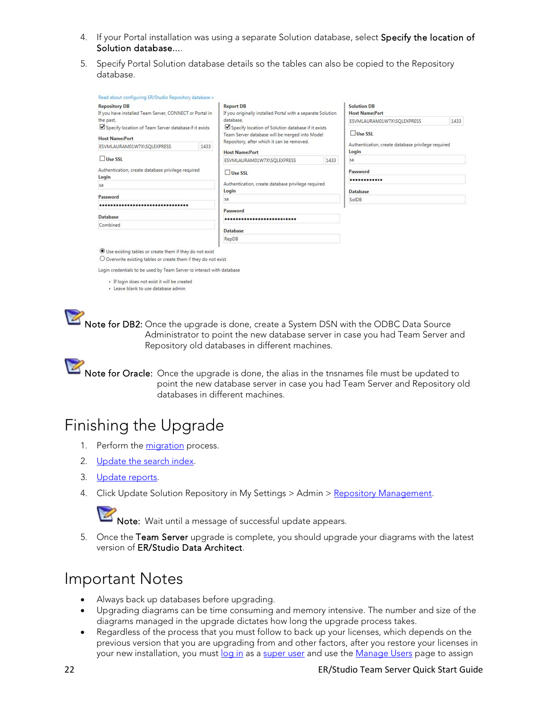- 4. If your Portal installation was using a separate Solution database, select Specify the location of Solution database....
- 5. Specify Portal Solution database details so the tables can also be copied to the Repository database.

| <b>Repository DB</b><br>If you have installed Team Server, CONNECT or Portal in |      | <b>Report DB</b><br>If you originally installed Portal with a separate Solution                                                                    |      | <b>Solution DB</b><br><b>Host Name:Port</b>                 |      |                 |  |          |  |  |  |
|---------------------------------------------------------------------------------|------|----------------------------------------------------------------------------------------------------------------------------------------------------|------|-------------------------------------------------------------|------|-----------------|--|----------|--|--|--|
| the past,                                                                       |      | database.                                                                                                                                          |      | ESVMLAURAM01W7X\SQLEXPRESS                                  | 1433 |                 |  |          |  |  |  |
| Specify location of Team Server database if it exists<br><b>Host Name:Port</b>  |      | Specify location of Solution database if it exists<br>Team Server database will be merged into Model<br>Repository, after which it can be removed. |      | Use SSL                                                     |      |                 |  |          |  |  |  |
| ESVMLAURAM01W7X\SQLEXPRESS                                                      | 1433 | <b>Host Name:Port</b>                                                                                                                              |      | Authentication, create database privilege required<br>Login |      |                 |  |          |  |  |  |
| Use SSL                                                                         |      | ESVMLAURAM01W7X\SQLEXPRESS                                                                                                                         | 1433 | sa                                                          |      |                 |  |          |  |  |  |
| Authentication, create database privilege required<br>Login<br>5a<br>Password   |      | Use SSL<br>Authentication, create database privilege required<br>Login<br>5a                                                                       |      | Password<br><br>Database<br>SolDB                           |      |                 |  |          |  |  |  |
|                                                                                 |      |                                                                                                                                                    |      |                                                             |      |                 |  | Password |  |  |  |
|                                                                                 |      |                                                                                                                                                    |      |                                                             |      | <b>Database</b> |  |          |  |  |  |
| Combined                                                                        |      | Database                                                                                                                                           |      |                                                             |      |                 |  |          |  |  |  |
|                                                                                 |      | RepDB                                                                                                                                              |      |                                                             |      |                 |  |          |  |  |  |

Use existing tables or create them if they do not exist

O Overwrite existing tables or create them if they do not exist

Login credentials to be used by Team Server to interact with database

- · If login does not exist it will be created
- · Leave blank to use database admin



[N](http://docwiki.embarcadero.com/TeamServer/ERStudio/Updates/en/File:Notepad_blue_icon_2.png)ote for Oracle: Once the upgrade is done, the alias in the tnsnames file must be updated to point the new database server in case you had Team Server and Repository old databases in different machines.

#### <span id="page-21-0"></span>Finishing the Upgrade

- 1. Perform the [migration](http://docwiki.embarcadero.com/TeamServer/ERStudio/170/en/Install_and_Configure_Team_Server_and_Repository#Migration) process.
- 2. [Update the search index.](http://docwiki.embarcadero.com/TeamServer/ERStudio/170/en/Updating_the_Search_Index)
- 3. [Update reports.](http://docwiki.embarcadero.com/TeamServer/ERStudio/170/en/Updating_Reports)
- 4. Click Update Solution Repository in My Settings > Admin > [Repository Management.](http://docwiki.embarcadero.com/TeamServer/ERStudio/170/en/Repository_Management)



[N](http://docwiki.embarcadero.com/TeamServer/ERStudio/Updates/en/File:Notepad_blue_icon_2.png)ote: Wait until a message of successful update appears.

5. Once the Team Server upgrade is complete, you should upgrade your diagrams with the latest version of ER/Studio Data Architect.

#### <span id="page-21-1"></span>Important Notes

- Always back up databases before upgrading.
- Upgrading diagrams can be time consuming and memory intensive. The number and size of the diagrams managed in the upgrade dictates how long the upgrade process takes.
- Regardless of the process that you must follow to back up your licenses, which depends on the previous version that you are upgrading from and other factors, after you restore your licenses in your new installation, you must [log in](http://docwiki.embarcadero.com/TeamServer/ERStudio/170/en/Connecting_to_Team_Server) as a [super user](http://docwiki.embarcadero.com/TeamServer/ERStudio/170/en/Overview_of_User_Roles#Super_User) and use the [Manage Users](http://docwiki.embarcadero.com/TeamServer/ERStudio/170/en/Manage_Users) page to assign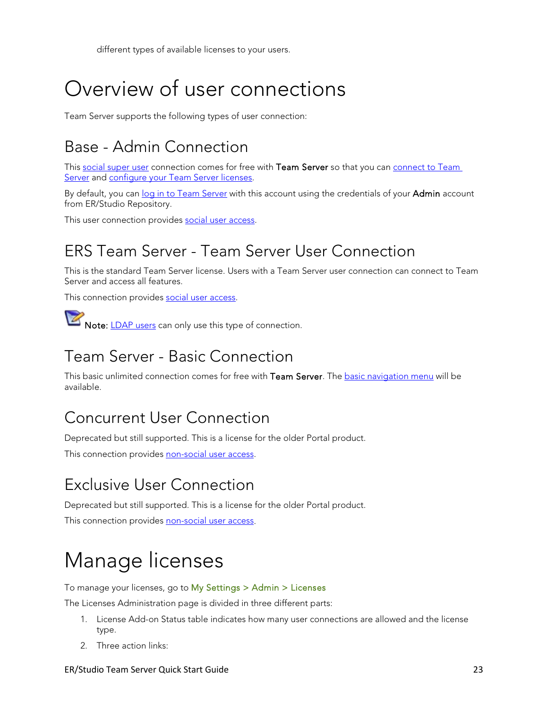different types of available licenses to your users.

# <span id="page-22-0"></span>Overview of user connections

Team Server supports the following types of user connection:

## <span id="page-22-1"></span>Base - Admin Connection

This [social super user](http://docwiki.embarcadero.com/TeamServer/ERStudio/170/en/Overview_of_User_Roles#Super_User) connection comes for free with Team Server so that you can connect to Team [Server](http://docwiki.embarcadero.com/TeamServer/ERStudio/170/en/Connecting_to_Team_Server) and [configure your Team Server licenses.](http://docwiki.embarcadero.com/TeamServer/ERStudio/170/en/Manage_Licenses)

By default, you ca[n log in to Team Server](http://docwiki.embarcadero.com/TeamServer/ERStudio/170/en/Connecting_to_Team_Server) with this account using the credentials of your Admin account from ER/Studio Repository.

This user connection provides [social user access.](http://docwiki.embarcadero.com/TeamServer/ERStudio/170/en/Overview_of_User_Experiences#Social_Users)

## <span id="page-22-2"></span>ERS Team Server - Team Server User Connection

This is the standard Team Server license. Users with a Team Server user connection can connect to Team Server and access all features.

This connection provides [social user access.](http://docwiki.embarcadero.com/TeamServer/ERStudio/170/en/Overview_of_User_Experiences#Social_Users) 

[N](http://docwiki.embarcadero.com/TeamServer/ERStudio/Updates/en/File:Notepad_blue_icon_2.png)ote: [LDAP users](http://docwiki.embarcadero.com/TeamServer/ERStudio/170/en/Overview_of_User_Accounts#LDAP_User_Accounts) can only use this type of connection.

## <span id="page-22-3"></span>Team Server - Basic Connection

This basic unlimited connection comes for free with Team Server. The [basic navigation menu](http://docwiki.embarcadero.com/TeamServer/ERStudio/170/en/Navigation_Menu#Basic_Navigation_Menu) will be available.

#### <span id="page-22-4"></span>Concurrent User Connection

Deprecated but still supported. This is a license for the older Portal product.

This connection provides [non-social user access.](http://docwiki.embarcadero.com/TeamServer/ERStudio/170/en/Overview_of_User_Experiences#Non-Social_Users)

## <span id="page-22-5"></span>Exclusive User Connection

Deprecated but still supported. This is a license for the older Portal product.

This connection provides [non-social user access.](http://docwiki.embarcadero.com/TeamServer/ERStudio/170/en/Overview_of_User_Experiences#Non-Social_Users)

# <span id="page-22-6"></span>Manage licenses

To manage your licenses, go to My Settings > Admin > Licenses

The Licenses Administration page is divided in three different parts:

- 1. License Add-on Status table indicates how many user connections are allowed and the license type.
- 2. Three action links:

#### ER/Studio Team Server Quick Start Guide 23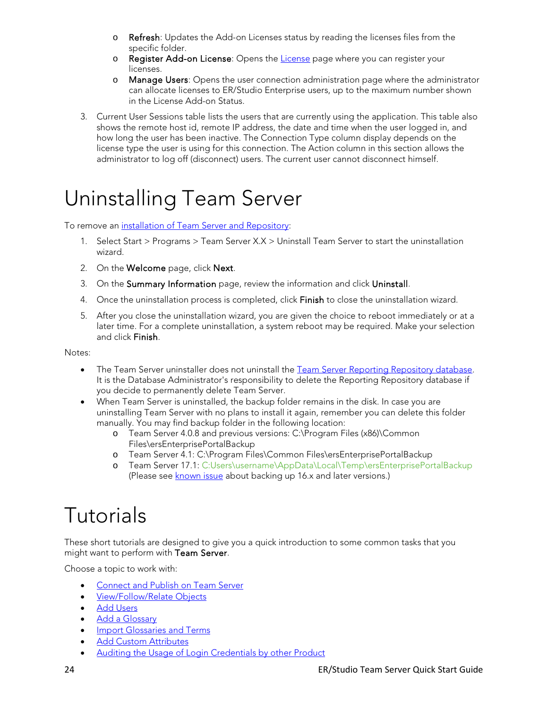- $\circ$  Refresh: Updates the Add-on Licenses status by reading the licenses files from the specific folder.
- o Register Add-on [License](http://docwiki.embarcadero.com/TeamServer/ERStudio/170/en/Install_and_Configure_Team_Server_and_Repository#License): Opens the License page where you can register your licenses.
- o Manage Users: Opens the user connection administration page where the administrator can allocate licenses to ER/Studio Enterprise users, up to the maximum number shown in the License Add-on Status.
- 3. Current User Sessions table lists the users that are currently using the application. This table also shows the remote host id, remote IP address, the date and time when the user logged in, and how long the user has been inactive. The Connection Type column display depends on the license type the user is using for this connection. The Action column in this section allows the administrator to log off (disconnect) users. The current user cannot disconnect himself.

## <span id="page-23-0"></span>Uninstalling Team Server

To remove an [installation of Team Server and Repository:](http://docwiki.embarcadero.com/TeamServer/ERStudio/170/en/Install_and_Configure_Team_Server_and_Repository)

- 1. Select Start > Programs > Team Server X.X > Uninstall Team Server to start the uninstallation wizard.
- 2. On the **Welcome** page, click **Next**.
- 3. On the Summary Information page, review the information and click Uninstall.
- 4. Once the uninstallation process is completed, click Finish to close the uninstallation wizard.
- 5. After you close the uninstallation wizard, you are given the choice to reboot immediately or at a later time. For a complete uninstallation, a system reboot may be required. Make your selection and click Finish.

Notes:

- The Team Server uninstaller does not uninstall the [Team Server Reporting Repository database.](http://docwiki.embarcadero.com/TeamServer/ERStudio/170/en/Overview_of_the_Team_Server_Architecture) It is the Database Administrator's responsibility to delete the Reporting Repository database if you decide to permanently delete Team Server.
- When Team Server is uninstalled, the backup folder remains in the disk. In case you are uninstalling Team Server with no plans to install it again, remember you can delete this folder manually. You may find backup folder in the following location:
	- o Team Server 4.0.8 and previous versions: C:\Program Files (x86)\Common Files\ersEnterprisePortalBackup
	- o Team Server 4.1: C:\Program Files\Common Files\ersEnterprisePortalBackup
	- o Team Server 17.1: C:Users\username\AppData\Local\Temp\ersEnterprisePortalBackup (Please see [known issue](http://docwiki.embarcadero.com/TeamServer/ERStudio/170/en/Release_Notes#Known_Issues) about backing up 16.x and later versions.)

# <span id="page-23-1"></span>Tutorials

These short tutorials are designed to give you a quick introduction to some common tasks that you might want to perform with Team Server.

Choose a topic to work with:

- [Connect and Publish on Team Server](#page-24-0)
- [View/Follow/Relate Objects](#page-25-0)
- [Add Users](#page-25-4)
- [Add a Glossary](#page-26-1)
- [Import Glossaries and Terms](#page-26-2)
- [Add Custom Attributes](#page-27-0)
- [Auditing the Usage of Login Credentials by other Product](#page-28-3)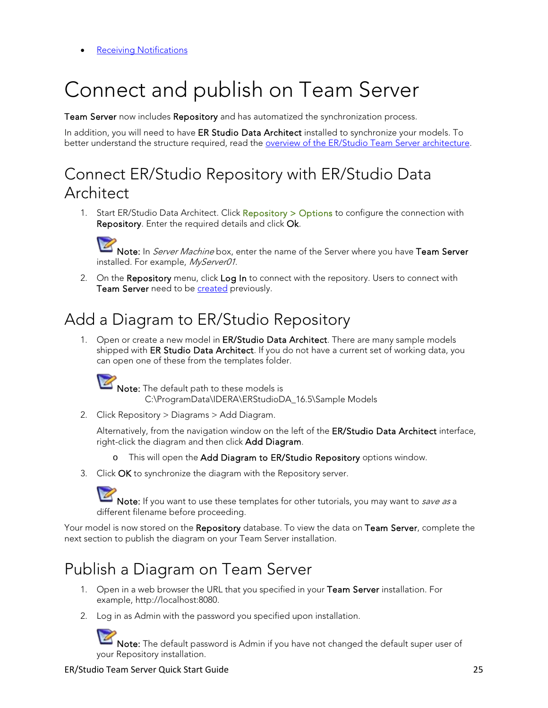**[Receiving Notifications](#page-29-1)** 

# <span id="page-24-0"></span>Connect and publish on Team Server

Team Server now includes Repository and has automatized the synchronization process.

In addition, you will need to have ER Studio Data Architect installed to synchronize your models. To better understand the structure required, read the **overview of the ER/Studio Team Server architecture**.

### <span id="page-24-1"></span>Connect ER/Studio Repository with ER/Studio Data Architect

1. Start ER/Studio Data Architect. Click Repository > Options to configure the connection with Repository. Enter the required details and click Ok.

[N](http://docwiki.embarcadero.com/TeamServer/ERStudio/Updates/en/File:Notepad_blue_icon_2.png)ote: In Server Machine box, enter the name of the Server where you have Team Server installed. For example, MyServer01.

2. On the Repository menu, click Log In to connect with the repository. Users to connect with Team Server need to be **[created](http://docwiki.embarcadero.com/TeamServer/ERStudio/170/en/Add_Users)** previously.

## <span id="page-24-2"></span>Add a Diagram to ER/Studio Repository

1. Open or create a new model in ER/Studio Data Architect. There are many sample models shipped with ER Studio Data Architect. If you do not have a current set of working data, you can open one of these from the templates folder.



[N](http://docwiki.embarcadero.com/TeamServer/ERStudio/Updates/en/File:Notepad_blue_icon_2.png)ote: The default path to these models is C:\ProgramData\IDERA\ERStudioDA\_16.5\Sample Models

2. Click Repository > Diagrams > Add Diagram.

Alternatively, from the navigation window on the left of the ER/Studio Data Architect interface, right-click the diagram and then click Add Diagram.

- o This will open the Add Diagram to ER/Studio Repository options window.
- 3. Click OK to synchronize the diagram with the Repository server.



[N](http://docwiki.embarcadero.com/TeamServer/ERStudio/Updates/en/File:Notepad_blue_icon_2.png)ote: If you want to use these templates for other tutorials, you may want to *save as* a different filename before proceeding.

Your model is now stored on the Repository database. To view the data on Team Server, complete the next section to publish the diagram on your Team Server installation.

## <span id="page-24-3"></span>Publish a Diagram on Team Server

- 1. Open in a web browser the URL that you specified in your Team Server installation. For example, http://localhost:8080.
- 2. Log in as Admin with the password you specified upon installation.

[N](http://docwiki.embarcadero.com/TeamServer/ERStudio/Updates/en/File:Notepad_blue_icon_2.png)ote: The default password is Admin if you have not changed the default super user of your Repository installation.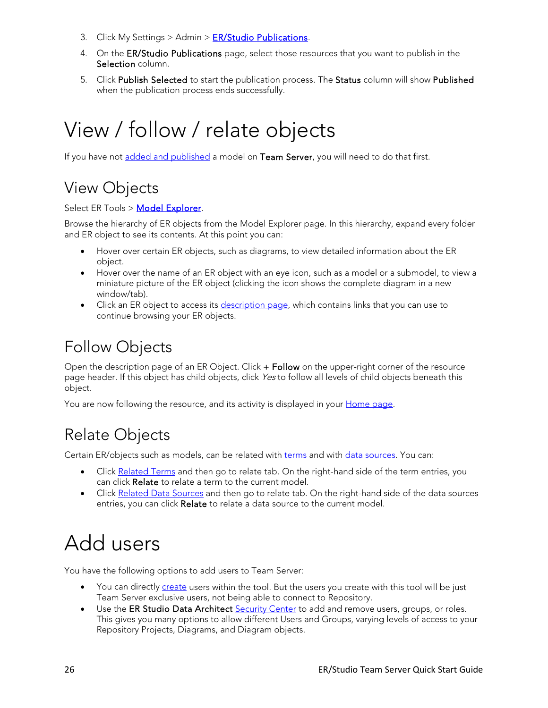- 3. Click My Settings  $>$  Admin  $>$  [ER/Studio Publications.](http://docwiki.embarcadero.com/TeamServer/ERStudio/170/en/ER/Studio_Publications)
- 4. On the ER/Studio Publications page, select those resources that you want to publish in the Selection column.
- 5. Click Publish Selected to start the publication process. The Status column will show Published when the publication process ends successfully.

# <span id="page-25-0"></span>View / follow / relate objects

If you have not [added and published](http://docwiki.embarcadero.com/TeamServer/ERStudio/170/en/Connect_and_Publish_on_Team_Server) a model on Team Server, you will need to do that first.

## <span id="page-25-1"></span>View Objects

#### Select ER Tools > [Model Explorer.](http://docwiki.embarcadero.com/TeamServer/ERStudio/170/en/Model_Explorer)

Browse the hierarchy of ER objects from the Model Explorer page. In this hierarchy, expand every folder and ER object to see its contents. At this point you can:

- Hover over certain ER objects, such as diagrams, to view detailed information about the ER object.
- Hover over the name of an ER object with an eye icon, such as a model or a submodel, to view a miniature picture of the ER object (clicking the icon shows the complete diagram in a new window/tab).
- Click an ER object to access its *description page*, which contains links that you can use to continue browsing your ER objects.

#### <span id="page-25-2"></span>Follow Objects

Open the description page of an ER Object. Click + Follow on the upper-right corner of the resource page header. If this object has child objects, click Yes to follow all levels of child objects beneath this object.

You are now following the resource, and its activity is displayed in your [Home page.](http://docwiki.embarcadero.com/TeamServer/ERStudio/170/en/Home_%28social%29)

## <span id="page-25-3"></span>Relate Objects

Certain ER/objects such as models, can be related with [terms](http://docwiki.embarcadero.com/TeamServer/ERStudio/170/en/Working_with_Terms) and with [data sources.](http://docwiki.embarcadero.com/TeamServer/ERStudio/170/en/Working_with_Data_Sources) You can:

- Click [Related Terms](http://docwiki.embarcadero.com/TeamServer/ERStudio/170/en/Related_Terms) and then go to relate tab. On the right-hand side of the term entries, you can click Relate to relate a term to the current model.
- Click [Related Data Sources](http://docwiki.embarcadero.com/TeamServer/ERStudio/170/en/Related_Data_Sources) and then go to relate tab. On the right-hand side of the data sources entries, you can click Relate to relate a data source to the current model.

# <span id="page-25-4"></span>Add users

You have the following options to add users to Team Server:

- You can directly [create](http://docwiki.embarcadero.com/TeamServer/ERStudio/170/en/Creating_a_New_User) users within the tool. But the users you create with this tool will be just Team Server exclusive users, not being able to connect to Repository.
- Use the ER Studio Data Architect [Security Center](http://docwiki.embarcadero.com/TeamServer/ERStudio/170/en/Add_Users#Add_Users_using_Security_Center) to add and remove users, groups, or roles. This gives you many options to allow different Users and Groups, varying levels of access to your Repository Projects, Diagrams, and Diagram objects.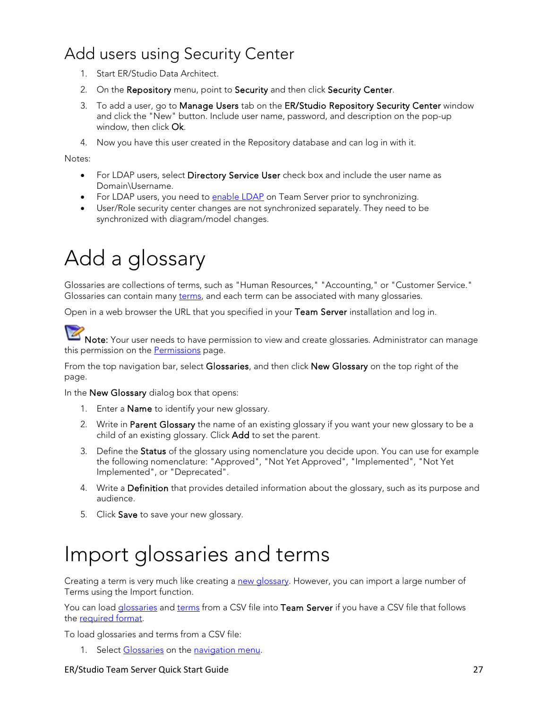## <span id="page-26-0"></span>Add users using Security Center

- 1. Start ER/Studio Data Architect.
- 2. On the Repository menu, point to Security and then click Security Center.
- 3. To add a user, go to Manage Users tab on the ER/Studio Repository Security Center window and click the "New" button. Include user name, password, and description on the pop-up window, then click Ok.
- 4. Now you have this user created in the Repository database and can log in with it.

Notes:

- For LDAP users, select Directory Service User check box and include the user name as Domain\Username.
- For LDAP users, you need to [enable LDAP](http://docwiki.embarcadero.com/TeamServer/ERStudio/170/en/Install_and_Configure_Team_Server_and_Repository#Single_Sign-On) on Team Server prior to synchronizing.
- User/Role security center changes are not synchronized separately. They need to be synchronized with diagram/model changes.

# <span id="page-26-1"></span>Add a glossary

Glossaries are collections of terms, such as "Human Resources," "Accounting," or "Customer Service." Glossaries can contain many [terms,](http://docwiki.embarcadero.com/TeamServer/ERStudio/170/en/Working_with_Terms) and each term can be associated with many glossaries.

Open in a web browser the URL that you specified in your Team Server installation and log in.

[N](http://docwiki.embarcadero.com/TeamServer/ERStudio/Updates/en/File:Notepad_blue_icon_2.png)ote: Your user needs to have permission to view and create glossaries. Administrator can manage this permission on the [Permissions](http://docwiki.embarcadero.com/TeamServer/ERStudio/170/en/Access_Control_Permissions) page.

From the top navigation bar, select Glossaries, and then click New Glossary on the top right of the page.

In the New Glossary dialog box that opens:

- 1. Enter a Name to identify your new glossary.
- 2. Write in Parent Glossary the name of an existing glossary if you want your new glossary to be a child of an existing glossary. Click Add to set the parent.
- 3. Define the Status of the glossary using nomenclature you decide upon. You can use for example the following nomenclature: "Approved", "Not Yet Approved", "Implemented", "Not Yet Implemented", or "Deprecated".
- 4. Write a **Definition** that provides detailed information about the glossary, such as its purpose and audience.
- 5. Click Save to save your new glossary.

## <span id="page-26-2"></span>Import glossaries and terms

Creating a term is very much like creating a [new glossary.](http://docwiki.embarcadero.com/TeamServer/ERStudio/170/en/Add_a_Glossary) However, you can import a large number of Terms using the Import function.

You can load [glossaries](http://docwiki.embarcadero.com/TeamServer/ERStudio/170/en/Working_with_Glossaries) and [terms](http://docwiki.embarcadero.com/TeamServer/ERStudio/170/en/Working_with_Terms) from a CSV file into Team Server if you have a CSV file that follows the [required](http://docwiki.embarcadero.com/TeamServer/ERStudio/170/en/CSV_Format_to_Load_Glossaries_and_Terms) format.

To load glossaries and terms from a CSV file:

1. Select [Glossaries](http://docwiki.embarcadero.com/TeamServer/ERStudio/170/en/Glossaries) on the [navigation menu.](http://docwiki.embarcadero.com/TeamServer/ERStudio/Updates/en/Navigation_Menu)

#### ER/Studio Team Server Quick Start Guide 27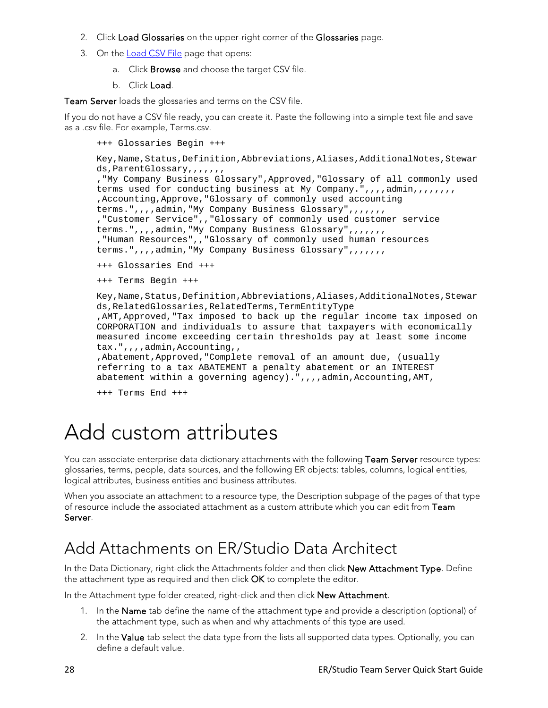- 2. Click Load Glossaries on the upper-right corner of the Glossaries page.
- 3. On the **Load CSV File** page that opens:
	- a. Click Browse and choose the target CSV file.
	- b. Click Load.

Team Server loads the glossaries and terms on the CSV file.

If you do not have a CSV file ready, you can create it. Paste the following into a simple text file and save as a .csv file. For example, Terms.csv.

```
+++ Glossaries Begin +++
```

```
Key, Name, Status, Definition, Abbreviations, Aliases, AdditionalNotes, Stewar
ds, ParentGlossary, , , , , , ,
,"My Company Business Glossary",Approved,"Glossary of all commonly used 
terms used for conducting business at My Company.",,,,admin,,,,,,,,,
,Accounting,Approve,"Glossary of commonly used accounting 
terms.",,,,admin,"My Company Business Glossary",,,,,,,
,"Customer Service",,"Glossary of commonly used customer service 
terms.",,,,admin,"My Company Business Glossary",,,,,,,
,"Human Resources",,"Glossary of commonly used human resources 
terms.",,,,admin,"My Company Business Glossary",,,,,,,
+++ Glossaries End +++ 
+++ Terms Begin +++ 
Key, Name, Status, Definition, Abbreviations, Aliases, AdditionalNotes, Stewar
ds,RelatedGlossaries,RelatedTerms,TermEntityType
,AMT,Approved,"Tax imposed to back up the regular income tax imposed on 
CORPORATION and individuals to assure that taxpayers with economically 
measured income exceeding certain thresholds pay at least some income 
tax.",,,,admin,Accounting,,
,Abatement,Approved,"Complete removal of an amount due, (usually 
referring to a tax ABATEMENT a penalty abatement or an INTEREST 
abatement within a governing agency).",,,,admin,Accounting,AMT,
+++ Terms End +++
```
# <span id="page-27-0"></span>Add custom attributes

You can associate enterprise data dictionary attachments with the following Team Server resource types: glossaries, terms, people, data sources, and the following ER objects: tables, columns, logical entities, logical attributes, business entities and business attributes.

When you associate an attachment to a resource type, the Description subpage of the pages of that type of resource include the associated attachment as a custom attribute which you can edit from Team Server.

## <span id="page-27-1"></span>Add Attachments on ER/Studio Data Architect

In the Data Dictionary, right-click the Attachments folder and then click New Attachment Type. Define the attachment type as required and then click OK to complete the editor.

In the Attachment type folder created, right-click and then click New Attachment.

- 1. In the Name tab define the name of the attachment type and provide a description (optional) of the attachment type, such as when and why attachments of this type are used.
- 2. In the Value tab select the data type from the lists all supported data types. Optionally, you can define a default value.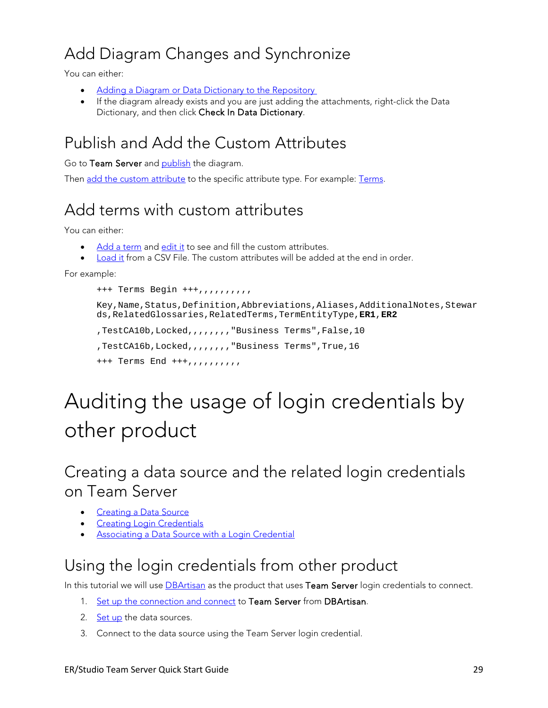## <span id="page-28-0"></span>Add Diagram Changes and Synchronize

You can either:

- [Adding a Diagram or Data Dictionary to the Repository](http://docwiki.embarcadero.com/ERStudioDA/170/en/Adding_a_Diagram_or_Data_Dictionary_to_the_Repository)
- If the diagram already exists and you are just adding the attachments, right-click the Data Dictionary, and then click Check In Data Dictionary.

## <span id="page-28-1"></span>Publish and Add the Custom Attributes

Go to Team Server and [publish](http://docwiki.embarcadero.com/TeamServer/ERStudio/170/en/ER/Studio_Publications) the diagram.

Then [add the custom attribute](http://docwiki.embarcadero.com/TeamServer/ERStudio/170/en/Adding_an_Attachment_Attribute_to_a_Resource_Type) to the specific attribute type. For example: [Terms.](http://docwiki.embarcadero.com/TeamServer/ERStudio/170/en/Terms)

## <span id="page-28-2"></span>Add terms with custom attributes

You can either:

- [Add a](http://docwiki.embarcadero.com/TeamServer/ERStudio/170/en/Creating_a_Term) term and [edit it](http://docwiki.embarcadero.com/TeamServer/ERStudio/170/en/Editing_a_Resource) to see and fill the custom attributes.
- [Load it](http://docwiki.embarcadero.com/TeamServer/ERStudio/170/en/Loading_Glossaries_and_Terms_from_a_CSV_File) from a CSV File. The custom attributes will be added at the end in order.

For example:

```
+++ Terms Begin +++,,,,,,,,,,
```
Key, Name, Status, Definition, Abbreviations, Aliases, AdditionalNotes, Stewar ds,RelatedGlossaries,RelatedTerms,TermEntityType,**ER1**,**ER2**

```
,TestCA10b,Locked,,,,,,,,"Business Terms",False,10
,TestCA16b,Locked,,,,,,,,"Business Terms",True,16
+++ Terms End +++,,,,,,,,,,
```
# <span id="page-28-3"></span>Auditing the usage of login credentials by other product

<span id="page-28-4"></span>Creating a data source and the related login credentials on Team Server

- **[Creating a Data Source](http://docwiki.embarcadero.com/TeamServer/ERStudio/170/en/Creating_a_Data_Source)**
- **[Creating Login Credentials](http://docwiki.embarcadero.com/TeamServer/ERStudio/170/en/Creating_Login_Credentials)**
- [Associating a Data Source with a Login Credential](http://docwiki.embarcadero.com/TeamServer/ERStudio/170/en/Associating_a_Data_Source_with_a_Login_Credential)

## <span id="page-28-5"></span>Using the login credentials from other product

In this tutorial we will use **DBArtisan** as the product that uses Team Server login credentials to connect.

- 1. [Set up the connection](http://docwiki.embarcadero.com/DBArtisan/170/en/Setting_up_and_Connecting_to_DB_Team_Server) and connect to Team Server from DBArtisan.
- 2. [Set up](http://docwiki.embarcadero.com/DBArtisan/170/en/Connecting_to_a_Datasource_From_the_Navigator/Explorer#Connecting_with_Team_Server_2016Credentials) the data sources.
- 3. Connect to the data source using the Team Server login credential.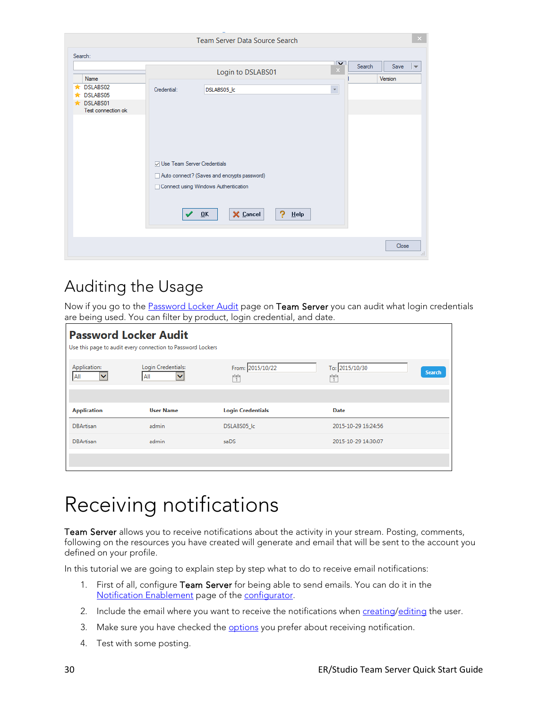| Name                           |                                      | Login to DSLABS01                           | ∣⊽<br>Search<br>$\times$ | Save<br>$\overline{\mathbf{v}}$<br>Version |
|--------------------------------|--------------------------------------|---------------------------------------------|--------------------------|--------------------------------------------|
| DSLABS02<br>÷<br>DSLABS05      | Credential:                          | DSLABS05_lc                                 | $\star$                  |                                            |
| DSLABS01<br>Test connection ok |                                      |                                             |                          |                                            |
|                                |                                      |                                             |                          |                                            |
|                                |                                      |                                             |                          |                                            |
|                                | <b>⊘ Use Team Server Credentials</b> |                                             |                          |                                            |
|                                |                                      | Auto connect? (Saves and encrypts password) |                          |                                            |
|                                |                                      | Connect using Windows Authentication        |                          |                                            |
|                                |                                      |                                             |                          |                                            |

## <span id="page-29-0"></span>Auditing the Usage

Now if you go to the **Password Locker Audit** page on Team Server you can audit what login credentials are being used. You can filter by product, login credential, and date.

| <b>Password Locker Audit</b>        | Use this page to audit every connection to Password Lockers |                          |                              |               |
|-------------------------------------|-------------------------------------------------------------|--------------------------|------------------------------|---------------|
| Application:<br>All<br>$\checkmark$ | Login Credentials:<br>All<br>v                              | From: 2015/10/22<br>Ħ    | To: 2015/10/30<br>rtata<br>1 | <b>Search</b> |
|                                     |                                                             |                          |                              |               |
|                                     |                                                             |                          |                              |               |
| <b>Application</b>                  | <b>User Name</b>                                            | <b>Login Credentials</b> | <b>Date</b>                  |               |
| <b>DBArtisan</b>                    | admin                                                       | DSLABS05 Ic              | 2015-10-29 16:24:56          |               |
| <b>DBArtisan</b>                    | admin                                                       | saDS                     | 2015-10-29 14:30:07          |               |

## <span id="page-29-1"></span>Receiving notifications

Team Server allows you to receive notifications about the activity in your stream. Posting, comments, following on the resources you have created will generate and email that will be sent to the account you defined on your profile.

In this tutorial we are going to explain step by step what to do to receive email notifications:

- 1. First of all, configure Team Server for being able to send emails. You can do it in the [Notification Enablement](http://docwiki.embarcadero.com/TeamServer/ERStudio/170/en/Install_and_Configure_Team_Server_and_Repository#Notification) page of the [configurator.](http://docwiki.embarcadero.com/TeamServer/ERStudio/170/en/Team_Server_Configuration_Manager)
- 2. Include the email where you want to receive the notifications when [creating/](http://docwiki.embarcadero.com/TeamServer/ERStudio/170/en/Creating_a_New_User)[editing](http://docwiki.embarcadero.com/TeamServer/ERStudio/170/en/Configuring_Your_User_Profile) the user.
- 3. Make sure you have checked the **options** you prefer about receiving notification.
- 4. Test with some posting.